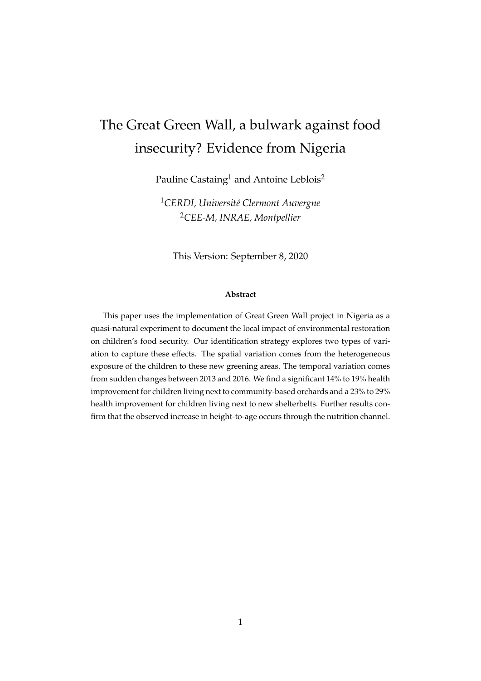# <span id="page-0-0"></span>The Great Green Wall, a bulwark against food insecurity? Evidence from Nigeria

Pauline Castaing<sup>1</sup> and Antoine Leblois<sup>2</sup>

<sup>1</sup>*CERDI, Université Clermont Auvergne* <sup>2</sup>*CEE-M, INRAE, Montpellier*

This Version: September 8, 2020

#### **Abstract**

This paper uses the implementation of Great Green Wall project in Nigeria as a quasi-natural experiment to document the local impact of environmental restoration on children's food security. Our identification strategy explores two types of variation to capture these effects. The spatial variation comes from the heterogeneous exposure of the children to these new greening areas. The temporal variation comes from sudden changes between 2013 and 2016. We find a significant 14% to 19% health improvement for children living next to community-based orchards and a 23% to 29% health improvement for children living next to new shelterbelts. Further results confirm that the observed increase in height-to-age occurs through the nutrition channel.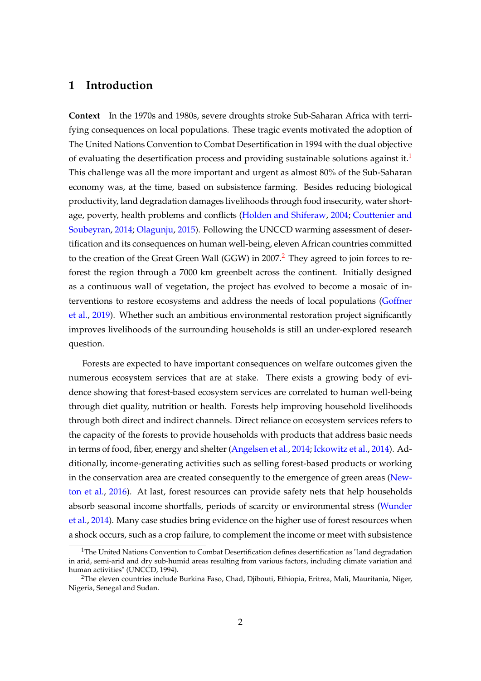### **1 Introduction**

**Context** In the 1970s and 1980s, severe droughts stroke Sub-Saharan Africa with terrifying consequences on local populations. These tragic events motivated the adoption of The United Nations Convention to Combat Desertification in 1994 with the dual objective of evaluating the desertification process and providing sustainable solutions against it.<sup>[1](#page-0-0)</sup> This challenge was all the more important and urgent as almost 80% of the Sub-Saharan economy was, at the time, based on subsistence farming. Besides reducing biological productivity, land degradation damages livelihoods through food insecurity, water shortage, poverty, health problems and conflicts [\(Holden and Shiferaw,](#page-22-0) [2004;](#page-22-0) [Couttenier and](#page-21-0) [Soubeyran,](#page-21-0) [2014;](#page-21-0) [Olagunju,](#page-23-0) [2015\)](#page-23-0). Following the UNCCD warming assessment of desertification and its consequences on human well-being, eleven African countries committed to the creation of the Great Green Wall (GGW) in [2](#page-0-0)007.<sup>2</sup> They agreed to join forces to reforest the region through a 7000 km greenbelt across the continent. Initially designed as a continuous wall of vegetation, the project has evolved to become a mosaic of interventions to restore ecosystems and address the needs of local populations [\(Goffner](#page-22-1) [et al.,](#page-22-1) [2019\)](#page-22-1). Whether such an ambitious environmental restoration project significantly improves livelihoods of the surrounding households is still an under-explored research question.

Forests are expected to have important consequences on welfare outcomes given the numerous ecosystem services that are at stake. There exists a growing body of evidence showing that forest-based ecosystem services are correlated to human well-being through diet quality, nutrition or health. Forests help improving household livelihoods through both direct and indirect channels. Direct reliance on ecosystem services refers to the capacity of the forests to provide households with products that address basic needs in terms of food, fiber, energy and shelter [\(Angelsen et al.,](#page-21-1) [2014;](#page-21-1) [Ickowitz et al.,](#page-22-2) [2014\)](#page-22-2). Additionally, income-generating activities such as selling forest-based products or working in the conservation area are created consequently to the emergence of green areas [\(New](#page-23-1)[ton et al.,](#page-23-1) [2016\)](#page-23-1). At last, forest resources can provide safety nets that help households absorb seasonal income shortfalls, periods of scarcity or environmental stress [\(Wunder](#page-23-2) [et al.,](#page-23-2) [2014\)](#page-23-2). Many case studies bring evidence on the higher use of forest resources when a shock occurs, such as a crop failure, to complement the income or meet with subsistence

<sup>&</sup>lt;sup>1</sup>The United Nations Convention to Combat Desertification defines desertification as "land degradation in arid, semi-arid and dry sub-humid areas resulting from various factors, including climate variation and human activities" (UNCCD, 1994).

<sup>&</sup>lt;sup>2</sup>The eleven countries include Burkina Faso, Chad, Djibouti, Ethiopia, Eritrea, Mali, Mauritania, Niger, Nigeria, Senegal and Sudan.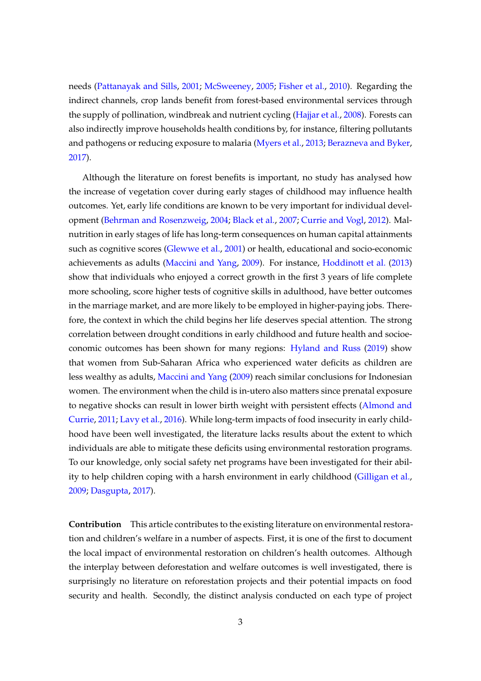needs [\(Pattanayak and Sills,](#page-23-3) [2001;](#page-23-3) [McSweeney,](#page-23-4) [2005;](#page-23-4) [Fisher et al.,](#page-21-2) [2010\)](#page-21-2). Regarding the indirect channels, crop lands benefit from forest-based environmental services through the supply of pollination, windbreak and nutrient cycling [\(Hajjar et al.,](#page-22-3) [2008\)](#page-22-3). Forests can also indirectly improve households health conditions by, for instance, filtering pollutants and pathogens or reducing exposure to malaria [\(Myers et al.,](#page-23-5) [2013;](#page-23-5) [Berazneva and Byker,](#page-21-3) [2017\)](#page-21-3).

Although the literature on forest benefits is important, no study has analysed how the increase of vegetation cover during early stages of childhood may influence health outcomes. Yet, early life conditions are known to be very important for individual development [\(Behrman and Rosenzweig,](#page-21-4) [2004;](#page-21-4) [Black et al.,](#page-21-5) [2007;](#page-21-5) [Currie and Vogl,](#page-21-6) [2012\)](#page-21-6). Malnutrition in early stages of life has long-term consequences on human capital attainments such as cognitive scores [\(Glewwe et al.,](#page-22-4) [2001\)](#page-22-4) or health, educational and socio-economic achievements as adults [\(Maccini and Yang,](#page-22-5) [2009\)](#page-22-5). For instance, [Hoddinott et al.](#page-22-6) [\(2013\)](#page-22-6) show that individuals who enjoyed a correct growth in the first 3 years of life complete more schooling, score higher tests of cognitive skills in adulthood, have better outcomes in the marriage market, and are more likely to be employed in higher-paying jobs. Therefore, the context in which the child begins her life deserves special attention. The strong correlation between drought conditions in early childhood and future health and socioeconomic outcomes has been shown for many regions: [Hyland and Russ](#page-22-7) [\(2019\)](#page-22-7) show that women from Sub-Saharan Africa who experienced water deficits as children are less wealthy as adults, [Maccini and Yang](#page-22-5) [\(2009\)](#page-22-5) reach similar conclusions for Indonesian women. The environment when the child is in-utero also matters since prenatal exposure to negative shocks can result in lower birth weight with persistent effects [\(Almond and](#page-21-7) [Currie,](#page-21-7) [2011;](#page-21-7) [Lavy et al.,](#page-22-8) [2016\)](#page-22-8). While long-term impacts of food insecurity in early childhood have been well investigated, the literature lacks results about the extent to which individuals are able to mitigate these deficits using environmental restoration programs. To our knowledge, only social safety net programs have been investigated for their ability to help children coping with a harsh environment in early childhood [\(Gilligan et al.,](#page-22-9) [2009;](#page-22-9) [Dasgupta,](#page-21-8) [2017\)](#page-21-8).

**Contribution** This article contributes to the existing literature on environmental restoration and children's welfare in a number of aspects. First, it is one of the first to document the local impact of environmental restoration on children's health outcomes. Although the interplay between deforestation and welfare outcomes is well investigated, there is surprisingly no literature on reforestation projects and their potential impacts on food security and health. Secondly, the distinct analysis conducted on each type of project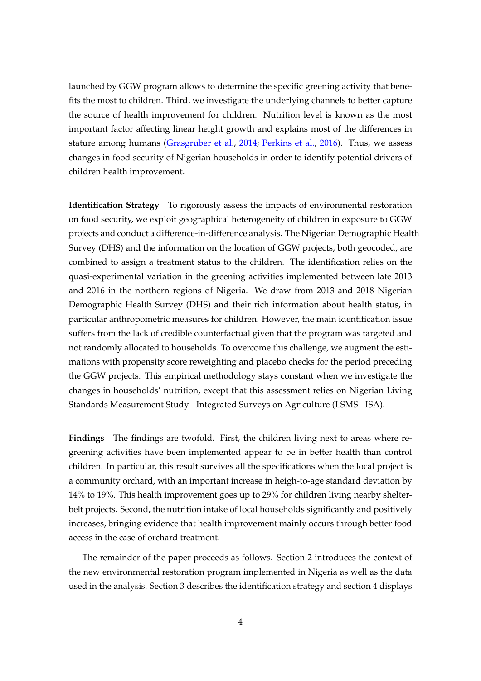launched by GGW program allows to determine the specific greening activity that benefits the most to children. Third, we investigate the underlying channels to better capture the source of health improvement for children. Nutrition level is known as the most important factor affecting linear height growth and explains most of the differences in stature among humans [\(Grasgruber et al.,](#page-22-10) [2014;](#page-22-10) [Perkins et al.,](#page-23-6) [2016\)](#page-23-6). Thus, we assess changes in food security of Nigerian households in order to identify potential drivers of children health improvement.

**Identification Strategy** To rigorously assess the impacts of environmental restoration on food security, we exploit geographical heterogeneity of children in exposure to GGW projects and conduct a difference-in-difference analysis. The Nigerian Demographic Health Survey (DHS) and the information on the location of GGW projects, both geocoded, are combined to assign a treatment status to the children. The identification relies on the quasi-experimental variation in the greening activities implemented between late 2013 and 2016 in the northern regions of Nigeria. We draw from 2013 and 2018 Nigerian Demographic Health Survey (DHS) and their rich information about health status, in particular anthropometric measures for children. However, the main identification issue suffers from the lack of credible counterfactual given that the program was targeted and not randomly allocated to households. To overcome this challenge, we augment the estimations with propensity score reweighting and placebo checks for the period preceding the GGW projects. This empirical methodology stays constant when we investigate the changes in households' nutrition, except that this assessment relies on Nigerian Living Standards Measurement Study - Integrated Surveys on Agriculture (LSMS - ISA).

**Findings** The findings are twofold. First, the children living next to areas where regreening activities have been implemented appear to be in better health than control children. In particular, this result survives all the specifications when the local project is a community orchard, with an important increase in heigh-to-age standard deviation by 14% to 19%. This health improvement goes up to 29% for children living nearby shelterbelt projects. Second, the nutrition intake of local households significantly and positively increases, bringing evidence that health improvement mainly occurs through better food access in the case of orchard treatment.

The remainder of the paper proceeds as follows. Section 2 introduces the context of the new environmental restoration program implemented in Nigeria as well as the data used in the analysis. Section 3 describes the identification strategy and section 4 displays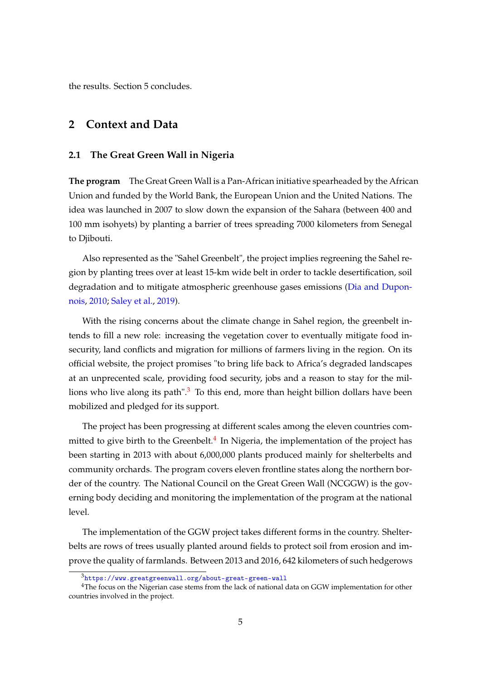the results. Section 5 concludes.

### **2 Context and Data**

#### **2.1 The Great Green Wall in Nigeria**

**The program** The Great Green Wall is a Pan-African initiative spearheaded by the African Union and funded by the World Bank, the European Union and the United Nations. The idea was launched in 2007 to slow down the expansion of the Sahara (between 400 and 100 mm isohyets) by planting a barrier of trees spreading 7000 kilometers from Senegal to Djibouti.

Also represented as the "Sahel Greenbelt", the project implies regreening the Sahel region by planting trees over at least 15-km wide belt in order to tackle desertification, soil degradation and to mitigate atmospheric greenhouse gases emissions [\(Dia and Dupon](#page-21-9)[nois,](#page-21-9) [2010;](#page-21-9) [Saley et al.,](#page-23-7) [2019\)](#page-23-7).

With the rising concerns about the climate change in Sahel region, the greenbelt intends to fill a new role: increasing the vegetation cover to eventually mitigate food insecurity, land conflicts and migration for millions of farmers living in the region. On its official website, the project promises "to bring life back to Africa's degraded landscapes at an unprecented scale, providing food security, jobs and a reason to stay for the millions who live along its path". $3$  To this end, more than height billion dollars have been mobilized and pledged for its support.

The project has been progressing at different scales among the eleven countries com-mitted to give birth to the Greenbelt.<sup>[4](#page-0-0)</sup> In Nigeria, the implementation of the project has been starting in 2013 with about 6,000,000 plants produced mainly for shelterbelts and community orchards. The program covers eleven frontline states along the northern border of the country. The National Council on the Great Green Wall (NCGGW) is the governing body deciding and monitoring the implementation of the program at the national level.

The implementation of the GGW project takes different forms in the country. Shelterbelts are rows of trees usually planted around fields to protect soil from erosion and improve the quality of farmlands. Between 2013 and 2016, 642 kilometers of such hedgerows

<sup>3</sup><https://www.greatgreenwall.org/about-great-green-wall>

<sup>&</sup>lt;sup>4</sup>The focus on the Nigerian case stems from the lack of national data on GGW implementation for other countries involved in the project.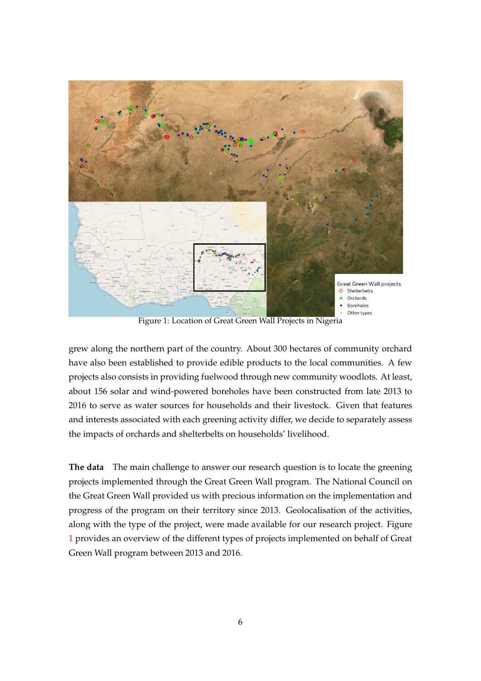<span id="page-5-0"></span>

Figure 1: Location of Great Green Wall Projects in Nigeria

grew along the northern part of the country. About 300 hectares of community orchard have also been established to provide edible products to the local communities. A few projects also consists in providing fuelwood through new community woodlots. At least, about 156 solar and wind-powered boreholes have been constructed from late 2013 to 2016 to serve as water sources for households and their livestock. Given that features and interests associated with each greening activity differ, we decide to separately assess the impacts of orchards and shelterbelts on households' livelihood.

**The data** The main challenge to answer our research question is to locate the greening projects implemented through the Great Green Wall program. The National Council on the Great Green Wall provided us with precious information on the implementation and progress of the program on their territory since 2013. Geolocalisation of the activities, along with the type of the project, were made available for our research project. Figure [1](#page-5-0) provides an overview of the different types of projects implemented on behalf of Great Green Wall program between 2013 and 2016.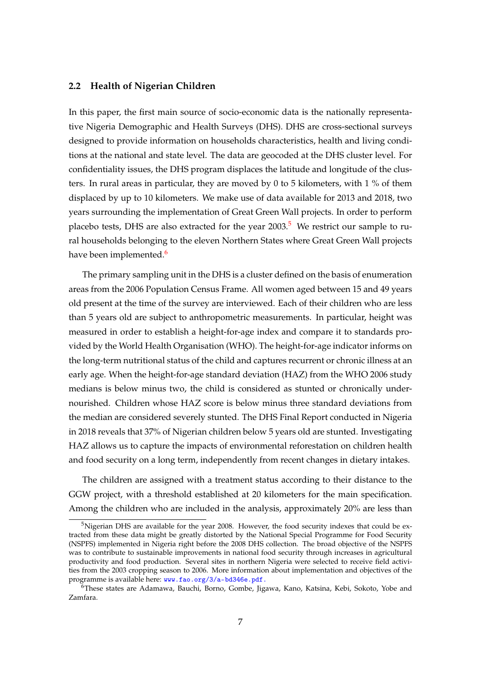#### **2.2 Health of Nigerian Children**

In this paper, the first main source of socio-economic data is the nationally representative Nigeria Demographic and Health Surveys (DHS). DHS are cross-sectional surveys designed to provide information on households characteristics, health and living conditions at the national and state level. The data are geocoded at the DHS cluster level. For confidentiality issues, the DHS program displaces the latitude and longitude of the clusters. In rural areas in particular, they are moved by 0 to 5 kilometers, with 1 % of them displaced by up to 10 kilometers. We make use of data available for 2013 and 2018, two years surrounding the implementation of Great Green Wall projects. In order to perform placebo tests, DHS are also extracted for the year  $2003$ .<sup>[5](#page-0-0)</sup> We restrict our sample to rural households belonging to the eleven Northern States where Great Green Wall projects have been implemented.<sup>[6](#page-0-0)</sup>

The primary sampling unit in the DHS is a cluster defined on the basis of enumeration areas from the 2006 Population Census Frame. All women aged between 15 and 49 years old present at the time of the survey are interviewed. Each of their children who are less than 5 years old are subject to anthropometric measurements. In particular, height was measured in order to establish a height-for-age index and compare it to standards provided by the World Health Organisation (WHO). The height-for-age indicator informs on the long-term nutritional status of the child and captures recurrent or chronic illness at an early age. When the height-for-age standard deviation (HAZ) from the WHO 2006 study medians is below minus two, the child is considered as stunted or chronically undernourished. Children whose HAZ score is below minus three standard deviations from the median are considered severely stunted. The DHS Final Report conducted in Nigeria in 2018 reveals that 37% of Nigerian children below 5 years old are stunted. Investigating HAZ allows us to capture the impacts of environmental reforestation on children health and food security on a long term, independently from recent changes in dietary intakes.

The children are assigned with a treatment status according to their distance to the GGW project, with a threshold established at 20 kilometers for the main specification. Among the children who are included in the analysis, approximately 20% are less than

 $5$ Nigerian DHS are available for the year 2008. However, the food security indexes that could be extracted from these data might be greatly distorted by the National Special Programme for Food Security (NSPFS) implemented in Nigeria right before the 2008 DHS collection. The broad objective of the NSPFS was to contribute to sustainable improvements in national food security through increases in agricultural productivity and food production. Several sites in northern Nigeria were selected to receive field activities from the 2003 cropping season to 2006. More information about implementation and objectives of the programme is available here: <www.fao.org/3/a-bd346e.pdf.>

<sup>&</sup>lt;sup>6</sup>These states are Adamawa, Bauchi, Borno, Gombe, Jigawa, Kano, Katsina, Kebi, Sokoto, Yobe and Zamfara.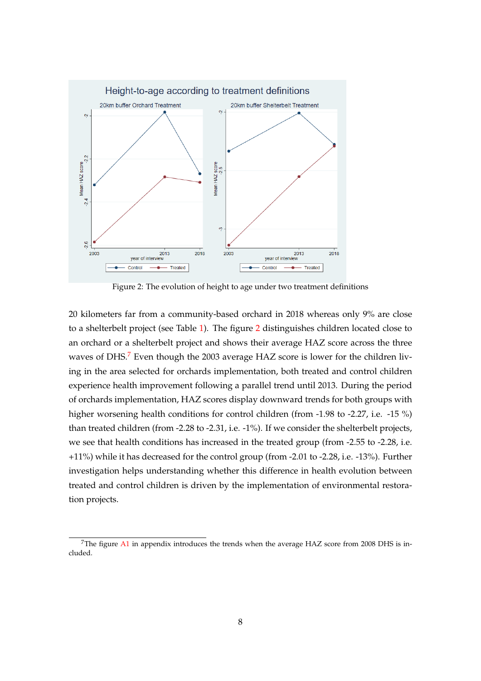<span id="page-7-0"></span>

Figure 2: The evolution of height to age under two treatment definitions

20 kilometers far from a community-based orchard in 2018 whereas only 9% are close to a shelterbelt project (see Table [1\)](#page-10-0). The figure [2](#page-7-0) distinguishes children located close to an orchard or a shelterbelt project and shows their average HAZ score across the three waves of DHS.<sup>[7](#page-0-0)</sup> Even though the 2003 average HAZ score is lower for the children living in the area selected for orchards implementation, both treated and control children experience health improvement following a parallel trend until 2013. During the period of orchards implementation, HAZ scores display downward trends for both groups with higher worsening health conditions for control children (from -1.98 to -2.27, i.e. -15 %) than treated children (from -2.28 to -2.31, i.e. -1%). If we consider the shelterbelt projects, we see that health conditions has increased in the treated group (from -2.55 to -2.28, i.e. +11%) while it has decreased for the control group (from -2.01 to -2.28, i.e. -13%). Further investigation helps understanding whether this difference in health evolution between treated and control children is driven by the implementation of environmental restoration projects.

<sup>&</sup>lt;sup>7</sup>The figure  $A1$  in appendix introduces the trends when the average HAZ score from 2008 DHS is included.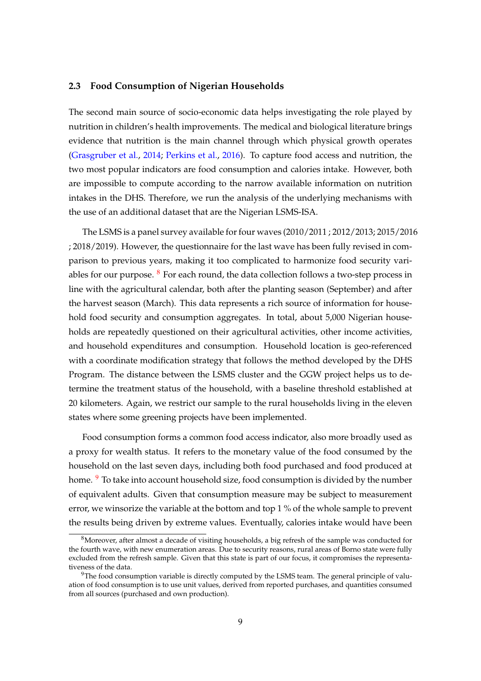#### **2.3 Food Consumption of Nigerian Households**

The second main source of socio-economic data helps investigating the role played by nutrition in children's health improvements. The medical and biological literature brings evidence that nutrition is the main channel through which physical growth operates [\(Grasgruber et al.,](#page-22-10) [2014;](#page-22-10) [Perkins et al.,](#page-23-6) [2016\)](#page-23-6). To capture food access and nutrition, the two most popular indicators are food consumption and calories intake. However, both are impossible to compute according to the narrow available information on nutrition intakes in the DHS. Therefore, we run the analysis of the underlying mechanisms with the use of an additional dataset that are the Nigerian LSMS-ISA.

The LSMS is a panel survey available for four waves (2010/2011 ; 2012/2013; 2015/2016 ; 2018/2019). However, the questionnaire for the last wave has been fully revised in comparison to previous years, making it too complicated to harmonize food security variables for our purpose.  $8$  For each round, the data collection follows a two-step process in line with the agricultural calendar, both after the planting season (September) and after the harvest season (March). This data represents a rich source of information for household food security and consumption aggregates. In total, about 5,000 Nigerian households are repeatedly questioned on their agricultural activities, other income activities, and household expenditures and consumption. Household location is geo-referenced with a coordinate modification strategy that follows the method developed by the DHS Program. The distance between the LSMS cluster and the GGW project helps us to determine the treatment status of the household, with a baseline threshold established at 20 kilometers. Again, we restrict our sample to the rural households living in the eleven states where some greening projects have been implemented.

Food consumption forms a common food access indicator, also more broadly used as a proxy for wealth status. It refers to the monetary value of the food consumed by the household on the last seven days, including both food purchased and food produced at home. <sup>[9](#page-0-0)</sup> To take into account household size, food consumption is divided by the number of equivalent adults. Given that consumption measure may be subject to measurement error, we winsorize the variable at the bottom and top 1 % of the whole sample to prevent the results being driven by extreme values. Eventually, calories intake would have been

 $8$ Moreover, after almost a decade of visiting households, a big refresh of the sample was conducted for the fourth wave, with new enumeration areas. Due to security reasons, rural areas of Borno state were fully excluded from the refresh sample. Given that this state is part of our focus, it compromises the representativeness of the data.

 $9$ The food consumption variable is directly computed by the LSMS team. The general principle of valuation of food consumption is to use unit values, derived from reported purchases, and quantities consumed from all sources (purchased and own production).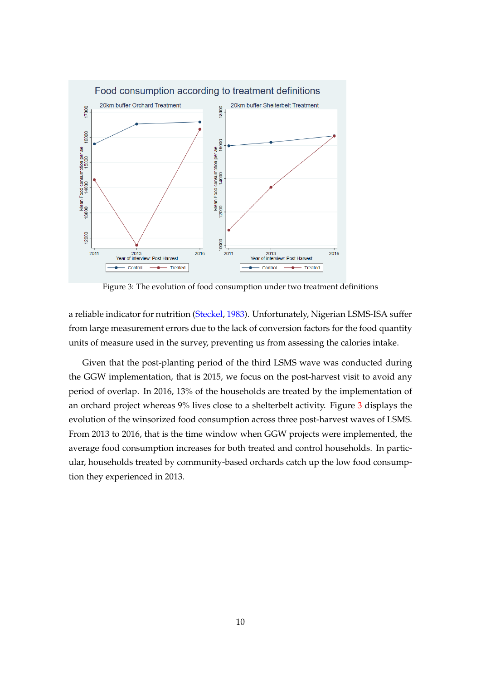<span id="page-9-0"></span>

Figure 3: The evolution of food consumption under two treatment definitions

a reliable indicator for nutrition [\(Steckel,](#page-23-8) [1983\)](#page-23-8). Unfortunately, Nigerian LSMS-ISA suffer from large measurement errors due to the lack of conversion factors for the food quantity units of measure used in the survey, preventing us from assessing the calories intake.

Given that the post-planting period of the third LSMS wave was conducted during the GGW implementation, that is 2015, we focus on the post-harvest visit to avoid any period of overlap. In 2016, 13% of the households are treated by the implementation of an orchard project whereas 9% lives close to a shelterbelt activity. Figure [3](#page-9-0) displays the evolution of the winsorized food consumption across three post-harvest waves of LSMS. From 2013 to 2016, that is the time window when GGW projects were implemented, the average food consumption increases for both treated and control households. In particular, households treated by community-based orchards catch up the low food consumption they experienced in 2013.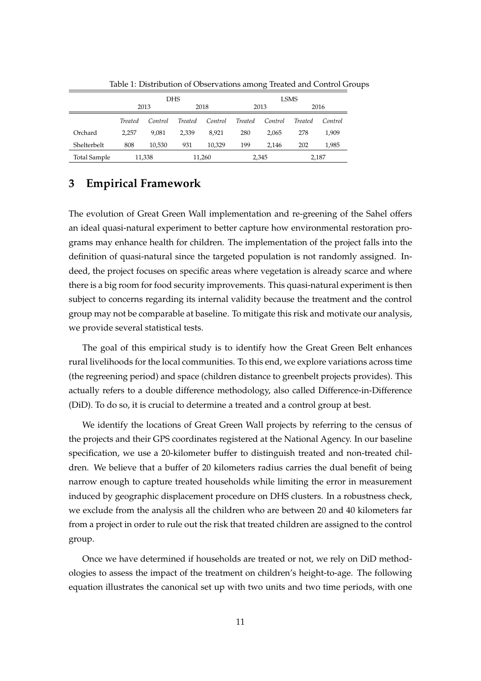<span id="page-10-0"></span>

|              | <b>DHS</b> |         |         |         |         |         | LSMS           |         |  |
|--------------|------------|---------|---------|---------|---------|---------|----------------|---------|--|
|              |            | 2013    | 2018    |         | 2013    |         | 2016           |         |  |
|              | Treated    | Control | Treated | Control | Treated | Control | <b>Treated</b> | Control |  |
| Orchard      | 2.257      | 9.081   | 2.339   | 8.921   | 280     | 2.065   | 278            | 1.909   |  |
| Shelterbelt  | 808        | 10,530  | 931     | 10.329  | 199     | 2.146   | 202            | 1,985   |  |
| Total Sample |            | 11,338  |         | 11,260  |         | 2,345   |                | 2,187   |  |

Table 1: Distribution of Observations among Treated and Control Groups

### **3 Empirical Framework**

The evolution of Great Green Wall implementation and re-greening of the Sahel offers an ideal quasi-natural experiment to better capture how environmental restoration programs may enhance health for children. The implementation of the project falls into the definition of quasi-natural since the targeted population is not randomly assigned. Indeed, the project focuses on specific areas where vegetation is already scarce and where there is a big room for food security improvements. This quasi-natural experiment is then subject to concerns regarding its internal validity because the treatment and the control group may not be comparable at baseline. To mitigate this risk and motivate our analysis, we provide several statistical tests.

The goal of this empirical study is to identify how the Great Green Belt enhances rural livelihoods for the local communities. To this end, we explore variations across time (the regreening period) and space (children distance to greenbelt projects provides). This actually refers to a double difference methodology, also called Difference-in-Difference (DiD). To do so, it is crucial to determine a treated and a control group at best.

We identify the locations of Great Green Wall projects by referring to the census of the projects and their GPS coordinates registered at the National Agency. In our baseline specification, we use a 20-kilometer buffer to distinguish treated and non-treated children. We believe that a buffer of 20 kilometers radius carries the dual benefit of being narrow enough to capture treated households while limiting the error in measurement induced by geographic displacement procedure on DHS clusters. In a robustness check, we exclude from the analysis all the children who are between 20 and 40 kilometers far from a project in order to rule out the risk that treated children are assigned to the control group.

Once we have determined if households are treated or not, we rely on DiD methodologies to assess the impact of the treatment on children's height-to-age. The following equation illustrates the canonical set up with two units and two time periods, with one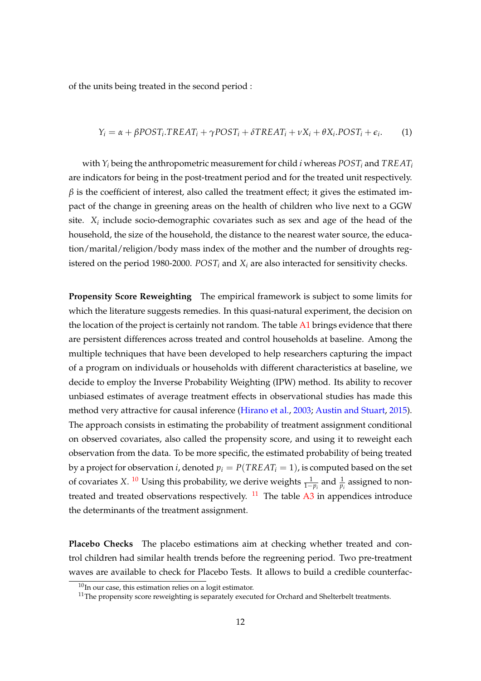of the units being treated in the second period :

$$
Y_i = \alpha + \beta POST_i \cdot TREAT_i + \gamma POST_i + \delta TREAL_i + \nu X_i + \theta X_i \cdot POST_i + \epsilon_i. \tag{1}
$$

with *Y<sup>i</sup>* being the anthropometric measurement for child *i* whereas *POST<sup>i</sup>* and *TREAT<sup>i</sup>* are indicators for being in the post-treatment period and for the treated unit respectively.  $\beta$  is the coefficient of interest, also called the treatment effect; it gives the estimated impact of the change in greening areas on the health of children who live next to a GGW site. *X<sup>i</sup>* include socio-demographic covariates such as sex and age of the head of the household, the size of the household, the distance to the nearest water source, the education/marital/religion/body mass index of the mother and the number of droughts registered on the period 1980-2000. *POST<sup>i</sup>* and *X<sup>i</sup>* are also interacted for sensitivity checks.

**Propensity Score Reweighting** The empirical framework is subject to some limits for which the literature suggests remedies. In this quasi-natural experiment, the decision on the location of the project is certainly not random. The table  $A1$  brings evidence that there are persistent differences across treated and control households at baseline. Among the multiple techniques that have been developed to help researchers capturing the impact of a program on individuals or households with different characteristics at baseline, we decide to employ the Inverse Probability Weighting (IPW) method. Its ability to recover unbiased estimates of average treatment effects in observational studies has made this method very attractive for causal inference [\(Hirano et al.,](#page-22-11) [2003;](#page-22-11) [Austin and Stuart,](#page-21-10) [2015\)](#page-21-10). The approach consists in estimating the probability of treatment assignment conditional on observed covariates, also called the propensity score, and using it to reweight each observation from the data. To be more specific, the estimated probability of being treated by a project for observation *i*, denoted  $p_i = P(TREAT_i = 1)$ , is computed based on the set of covariates X. <sup>[10](#page-0-0)</sup> Using this probability, we derive weights  $\frac{1}{1-p_i}$  and  $\frac{1}{p_i}$  assigned to nontreated and treated observations respectively.  $11$  The table [A3](#page-26-0) in appendices introduce the determinants of the treatment assignment.

**Placebo Checks** The placebo estimations aim at checking whether treated and control children had similar health trends before the regreening period. Two pre-treatment waves are available to check for Placebo Tests. It allows to build a credible counterfac-

 $10$ In our case, this estimation relies on a logit estimator.

 $11$ The propensity score reweighting is separately executed for Orchard and Shelterbelt treatments.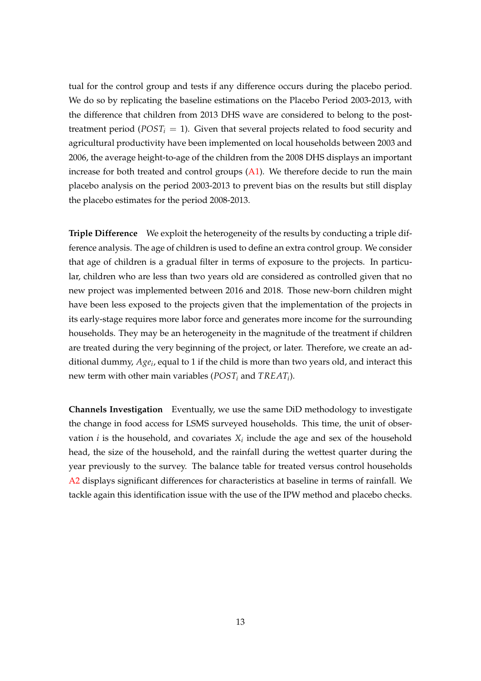tual for the control group and tests if any difference occurs during the placebo period. We do so by replicating the baseline estimations on the Placebo Period 2003-2013, with the difference that children from 2013 DHS wave are considered to belong to the posttreatment period ( $POST<sub>i</sub> = 1$ ). Given that several projects related to food security and agricultural productivity have been implemented on local households between 2003 and 2006, the average height-to-age of the children from the 2008 DHS displays an important increase for both treated and control groups  $(A1)$ . We therefore decide to run the main placebo analysis on the period 2003-2013 to prevent bias on the results but still display the placebo estimates for the period 2008-2013.

**Triple Difference** We exploit the heterogeneity of the results by conducting a triple difference analysis. The age of children is used to define an extra control group. We consider that age of children is a gradual filter in terms of exposure to the projects. In particular, children who are less than two years old are considered as controlled given that no new project was implemented between 2016 and 2018. Those new-born children might have been less exposed to the projects given that the implementation of the projects in its early-stage requires more labor force and generates more income for the surrounding households. They may be an heterogeneity in the magnitude of the treatment if children are treated during the very beginning of the project, or later. Therefore, we create an additional dummy, *Age<sup>i</sup>* , equal to 1 if the child is more than two years old, and interact this new term with other main variables (*POST<sup>i</sup>* and *TREAT<sup>i</sup>* ).

**Channels Investigation** Eventually, we use the same DiD methodology to investigate the change in food access for LSMS surveyed households. This time, the unit of observation  $i$  is the household, and covariates  $X_i$  include the age and sex of the household head, the size of the household, and the rainfall during the wettest quarter during the year previously to the survey. The balance table for treated versus control households [A2](#page-25-0) displays significant differences for characteristics at baseline in terms of rainfall. We tackle again this identification issue with the use of the IPW method and placebo checks.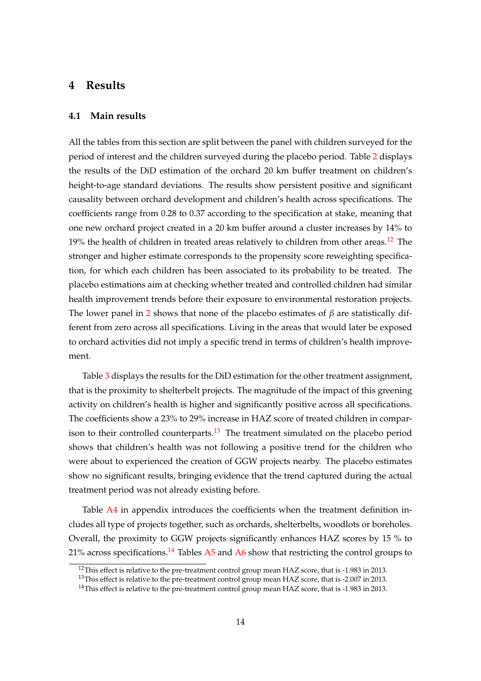### **4 Results**

#### **4.1 Main results**

All the tables from this section are split between the panel with children surveyed for the period of interest and the children surveyed during the placebo period. Table [2](#page-14-0) displays the results of the DiD estimation of the orchard 20 km buffer treatment on children's height-to-age standard deviations. The results show persistent positive and significant causality between orchard development and children's health across specifications. The coefficients range from 0.28 to 0.37 according to the specification at stake, meaning that one new orchard project created in a 20 km buffer around a cluster increases by 14% to 19% the health of children in treated areas relatively to children from other areas.<sup>[12](#page-0-0)</sup> The stronger and higher estimate corresponds to the propensity score reweighting specification, for which each children has been associated to its probability to be treated. The placebo estimations aim at checking whether treated and controlled children had similar health improvement trends before their exposure to environmental restoration projects. The lower panel in [2](#page-14-0) shows that none of the placebo estimates of *β* are statistically different from zero across all specifications. Living in the areas that would later be exposed to orchard activities did not imply a specific trend in terms of children's health improvement.

Table [3](#page-15-0) displays the results for the DiD estimation for the other treatment assignment, that is the proximity to shelterbelt projects. The magnitude of the impact of this greening activity on children's health is higher and significantly positive across all specifications. The coefficients show a 23% to 29% increase in HAZ score of treated children in compar-ison to their controlled counterparts.<sup>[13](#page-0-0)</sup> The treatment simulated on the placebo period shows that children's health was not following a positive trend for the children who were about to experienced the creation of GGW projects nearby. The placebo estimates show no significant results, bringing evidence that the trend captured during the actual treatment period was not already existing before.

Table [A4](#page-27-0) in appendix introduces the coefficients when the treatment definition includes all type of projects together, such as orchards, shelterbelts, woodlots or boreholes. Overall, the proximity to GGW projects significantly enhances HAZ scores by 15 % to 21% across specifications.<sup>[14](#page-0-0)</sup> Tables [A5](#page-28-0) and [A6](#page-29-0) show that restricting the control groups to

<sup>&</sup>lt;sup>12</sup>This effect is relative to the pre-treatment control group mean HAZ score, that is -1.983 in 2013.

<sup>&</sup>lt;sup>13</sup>This effect is relative to the pre-treatment control group mean HAZ score, that is -2.007 in 2013.

 $14$ This effect is relative to the pre-treatment control group mean HAZ score, that is -1.983 in 2013.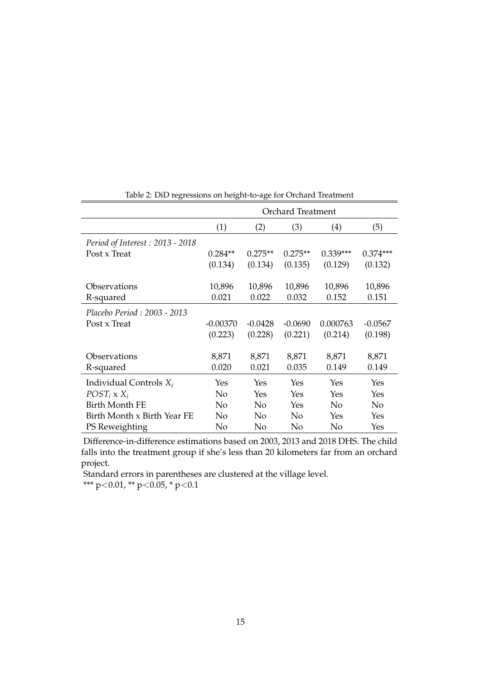<span id="page-14-0"></span>

|                                        | <b>Orchard Treatment</b> |           |           |            |            |  |
|----------------------------------------|--------------------------|-----------|-----------|------------|------------|--|
|                                        | (1)                      | (2)       | (3)       | (4)        | (5)        |  |
| <i>Period of Interest: 2013 - 2018</i> |                          |           |           |            |            |  |
| Post x Treat                           | $0.284**$                | $0.275**$ | $0.275**$ | $0.339***$ | $0.374***$ |  |
|                                        | (0.134)                  | (0.134)   | (0.135)   | (0.129)    | (0.132)    |  |
|                                        |                          |           |           |            |            |  |
| Observations                           | 10,896                   | 10,896    | 10,896    | 10,896     | 10,896     |  |
| R-squared                              | 0.021                    | 0.022     | 0.032     | 0.152      | 0.151      |  |
| Placebo Period : 2003 - 2013           |                          |           |           |            |            |  |
| Post x Treat                           | $-0.00370$               | $-0.0428$ | $-0.0690$ | 0.000763   | $-0.0567$  |  |
|                                        | (0.223)                  | (0.228)   | (0.221)   | (0.214)    | (0.198)    |  |
| Observations                           | 8,871                    | 8,871     | 8,871     | 8,871      | 8,871      |  |
|                                        |                          |           |           |            |            |  |
| R-squared                              | 0.020                    | 0.021     | 0.035     | 0.149      | 0.149      |  |
| Individual Controls $X_i$              | Yes                      | Yes       | Yes       | Yes        | Yes        |  |
| $POST_i$ x $X_i$                       | No                       | Yes       | Yes       | Yes        | Yes        |  |
| <b>Birth Month FE</b>                  | No                       | No        | Yes       | No         | No         |  |
| Birth Month x Birth Year FE            | No                       | No        | No        | Yes        | Yes        |  |
| PS Reweighting                         | No                       | No        | No        | No         | Yes        |  |

Table 2: DiD regressions on height-to-age for Orchard Treatment

Difference-in-difference estimations based on 2003, 2013 and 2018 DHS. The child falls into the treatment group if she's less than 20 kilometers far from an orchard project.

Standard errors in parentheses are clustered at the village level.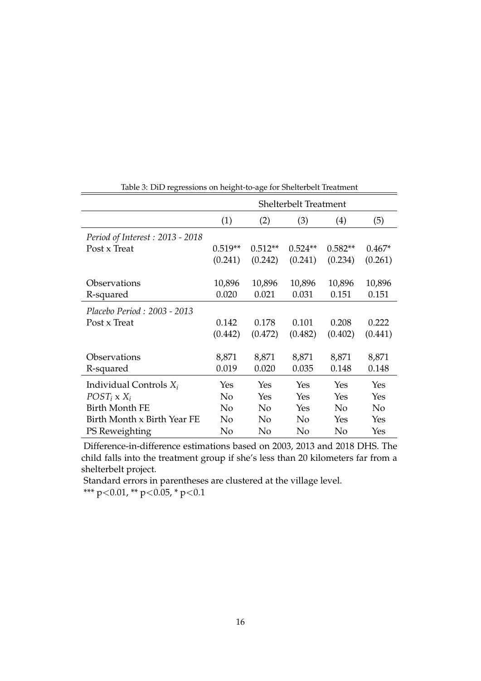<span id="page-15-0"></span>

|                                        | <b>Shelterbelt Treatment</b> |           |           |           |                |  |
|----------------------------------------|------------------------------|-----------|-----------|-----------|----------------|--|
|                                        | (1)                          | (2)       | (3)       | (4)       | (5)            |  |
| <i>Period of Interest: 2013 - 2018</i> |                              |           |           |           |                |  |
| Post x Treat                           | $0.519**$                    | $0.512**$ | $0.524**$ | $0.582**$ | $0.467*$       |  |
|                                        | (0.241)                      | (0.242)   | (0.241)   | (0.234)   | (0.261)        |  |
|                                        |                              |           |           |           |                |  |
| Observations                           | 10,896                       | 10,896    | 10,896    | 10,896    | 10,896         |  |
| R-squared                              | 0.020                        | 0.021     | 0.031     | 0.151     | 0.151          |  |
| Placebo Period: 2003 - 2013            |                              |           |           |           |                |  |
| Post x Treat                           | 0.142                        | 0.178     | 0.101     | 0.208     | 0.222          |  |
|                                        | (0.442)                      | (0.472)   | (0.482)   | (0.402)   | (0.441)        |  |
|                                        |                              |           |           |           |                |  |
| Observations                           | 8,871                        | 8,871     | 8,871     | 8,871     | 8,871          |  |
| R-squared                              | 0.019                        | 0.020     | 0.035     | 0.148     | 0.148          |  |
| Individual Controls $X_i$              | Yes                          | Yes       | Yes       | Yes       | Yes            |  |
| $POST_i \times X_i$                    | No                           | Yes       | Yes       | Yes       | Yes            |  |
| <b>Birth Month FE</b>                  | No                           | No        | Yes       | No        | N <sub>o</sub> |  |
| Birth Month x Birth Year FE            | No                           | No        | No        | Yes       | Yes            |  |
| PS Reweighting                         | No                           | No        | No        | No        | Yes            |  |

Table 3: DiD regressions on height-to-age for Shelterbelt Treatment

Difference-in-difference estimations based on 2003, 2013 and 2018 DHS. The child falls into the treatment group if she's less than 20 kilometers far from a shelterbelt project.

Standard errors in parentheses are clustered at the village level. \*\*\* p<0.01, \*\* p<0.05, \* p<0.1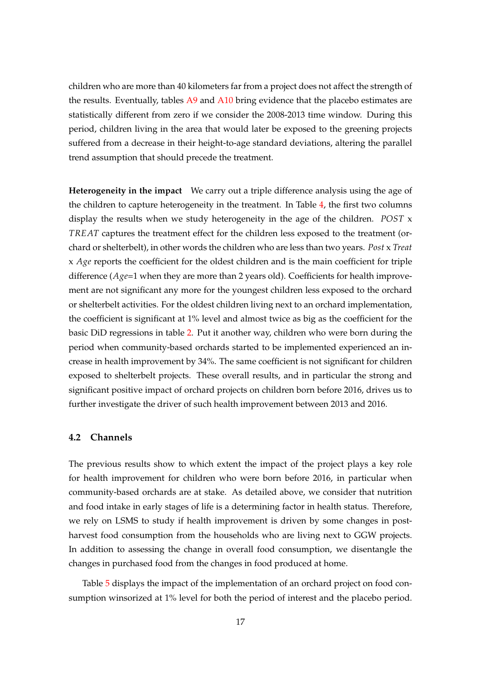children who are more than 40 kilometers far from a project does not affect the strength of the results. Eventually, tables  $A9$  and  $A10$  bring evidence that the placebo estimates are statistically different from zero if we consider the 2008-2013 time window. During this period, children living in the area that would later be exposed to the greening projects suffered from a decrease in their height-to-age standard deviations, altering the parallel trend assumption that should precede the treatment.

**Heterogeneity in the impact** We carry out a triple difference analysis using the age of the children to capture heterogeneity in the treatment. In Table [4,](#page-17-0) the first two columns display the results when we study heterogeneity in the age of the children. *POST* x *TREAT* captures the treatment effect for the children less exposed to the treatment (orchard or shelterbelt), in other words the children who are less than two years. *Post* x *Treat* x *Age* reports the coefficient for the oldest children and is the main coefficient for triple difference (*Age*=1 when they are more than 2 years old). Coefficients for health improvement are not significant any more for the youngest children less exposed to the orchard or shelterbelt activities. For the oldest children living next to an orchard implementation, the coefficient is significant at 1% level and almost twice as big as the coefficient for the basic DiD regressions in table [2.](#page-14-0) Put it another way, children who were born during the period when community-based orchards started to be implemented experienced an increase in health improvement by 34%. The same coefficient is not significant for children exposed to shelterbelt projects. These overall results, and in particular the strong and significant positive impact of orchard projects on children born before 2016, drives us to further investigate the driver of such health improvement between 2013 and 2016.

#### **4.2 Channels**

The previous results show to which extent the impact of the project plays a key role for health improvement for children who were born before 2016, in particular when community-based orchards are at stake. As detailed above, we consider that nutrition and food intake in early stages of life is a determining factor in health status. Therefore, we rely on LSMS to study if health improvement is driven by some changes in postharvest food consumption from the households who are living next to GGW projects. In addition to assessing the change in overall food consumption, we disentangle the changes in purchased food from the changes in food produced at home.

Table [5](#page-18-0) displays the impact of the implementation of an orchard project on food consumption winsorized at 1% level for both the period of interest and the placebo period.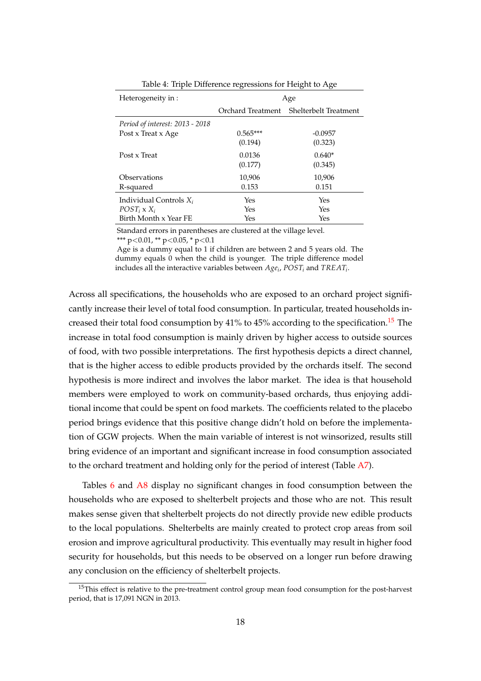<span id="page-17-0"></span>

| Heterogeneity in :                     | Age               |                       |  |  |  |
|----------------------------------------|-------------------|-----------------------|--|--|--|
|                                        | Orchard Treatment | Shelterbelt Treatment |  |  |  |
| <i>Period of interest: 2013 - 2018</i> |                   |                       |  |  |  |
| Post x Treat x Age                     | $0.565***$        | $-0.0957$             |  |  |  |
|                                        | (0.194)           | (0.323)               |  |  |  |
| Post x Treat                           | 0.0136            | $0.640*$              |  |  |  |
|                                        | (0.177)           | (0.345)               |  |  |  |
| Observations                           | 10,906            | 10,906                |  |  |  |
| R-squared                              | 0.153             | 0.151                 |  |  |  |
| Individual Controls $X_i$              | Yes               | Yes                   |  |  |  |
| $POST_i$ x $X_i$                       | Yes               | Yes                   |  |  |  |
| Birth Month x Year FE                  | Yes               | Yes                   |  |  |  |

Table 4: Triple Difference regressions for Height to Age

Standard errors in parentheses are clustered at the village level.

\*\*\* p<0.01, \*\* p<0.05, \* p<0.1

Age is a dummy equal to 1 if children are between 2 and 5 years old. The dummy equals 0 when the child is younger. The triple difference model includes all the interactive variables between  $Age_i$ ,  $POST_i$  and  $TREAT_i$ .

Across all specifications, the households who are exposed to an orchard project significantly increase their level of total food consumption. In particular, treated households in-creased their total food consumption by 41% to 45% according to the specification.<sup>[15](#page-0-0)</sup> The increase in total food consumption is mainly driven by higher access to outside sources of food, with two possible interpretations. The first hypothesis depicts a direct channel, that is the higher access to edible products provided by the orchards itself. The second hypothesis is more indirect and involves the labor market. The idea is that household members were employed to work on community-based orchards, thus enjoying additional income that could be spent on food markets. The coefficients related to the placebo period brings evidence that this positive change didn't hold on before the implementation of GGW projects. When the main variable of interest is not winsorized, results still bring evidence of an important and significant increase in food consumption associated to the orchard treatment and holding only for the period of interest (Table  $A$ 7).

Tables [6](#page-18-1) and [A8](#page-31-0) display no significant changes in food consumption between the households who are exposed to shelterbelt projects and those who are not. This result makes sense given that shelterbelt projects do not directly provide new edible products to the local populations. Shelterbelts are mainly created to protect crop areas from soil erosion and improve agricultural productivity. This eventually may result in higher food security for households, but this needs to be observed on a longer run before drawing any conclusion on the efficiency of shelterbelt projects.

<sup>&</sup>lt;sup>15</sup>This effect is relative to the pre-treatment control group mean food consumption for the post-harvest period, that is 17,091 NGN in 2013.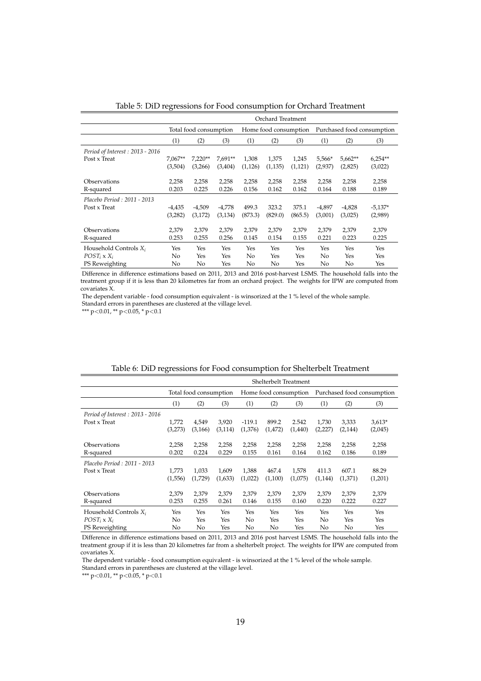<span id="page-18-0"></span>

|                                 |           | Orchard Treatment      |          |                       |          |          |                            |           |           |  |
|---------------------------------|-----------|------------------------|----------|-----------------------|----------|----------|----------------------------|-----------|-----------|--|
|                                 |           | Total food consumption |          | Home food consumption |          |          | Purchased food consumption |           |           |  |
|                                 | (1)       | (2)                    | (3)      | (1)                   | (2)      | (3)      | (1)                        | (2)       | (3)       |  |
| Period of Interest: 2013 - 2016 |           |                        |          |                       |          |          |                            |           |           |  |
| Post x Treat                    | $7,067**$ | $7,220**$              | 7,691**  | 1,308                 | 1,375    | 1,245    | 5,566*                     | $5,662**$ | $6,254**$ |  |
|                                 | (3,504)   | (3,266)                | (3,404)  | (1, 126)              | (1, 135) | (1, 121) | (2,937)                    | (2,825)   | (3,022)   |  |
| Observations                    | 2,258     | 2,258                  | 2,258    | 2,258                 | 2,258    | 2,258    | 2,258                      | 2,258     | 2,258     |  |
| R-squared                       | 0.203     | 0.225                  | 0.226    | 0.156                 | 0.162    | 0.162    | 0.164                      | 0.188     | 0.189     |  |
|                                 |           |                        |          |                       |          |          |                            |           |           |  |
| Placebo Period: 2011 - 2013     |           |                        |          |                       |          |          |                            |           |           |  |
| Post x Treat                    | $-4,435$  | $-4,509$               | $-4,778$ | 499.3                 | 323.2    | 375.1    | -4,897                     | $-4,828$  | $-5,137*$ |  |
|                                 | (3,282)   | (3,172)                | (3, 134) | (873.3)               | (829.0)  | (865.5)  | (3,001)                    | (3,025)   | (2,989)   |  |
| Observations                    | 2,379     | 2,379                  | 2,379    | 2,379                 | 2,379    | 2,379    | 2,379                      | 2,379     | 2,379     |  |
| R-squared                       | 0.253     | 0.255                  | 0.256    | 0.145                 | 0.154    | 0.155    | 0.221                      | 0.223     | 0.225     |  |
| Household Controls $X_i$        | Yes       | Yes                    | Yes      | Yes                   | Yes      | Yes      | Yes                        | Yes       | Yes       |  |
| $POST_i$ x $X_i$                | No        | Yes                    | Yes      | No                    | Yes      | Yes      | No                         | Yes       | Yes       |  |
| PS Reweighting                  | No        | No                     | Yes      | No                    | No       | Yes      | No                         | No        | Yes       |  |

Table 5: DiD regressions for Food consumption for Orchard Treatment

Difference in difference estimations based on 2011, 2013 and 2016 post-harvest LSMS. The household falls into the treatment group if it is less than 20 kilometres far from an orchard project. The weights for IPW are computed from covariates X.

The dependent variable - food consumption equivalent - is winsorized at the 1 % level of the whole sample.

Standard errors in parentheses are clustered at the village level.

\*\*\* p<0.01, \*\* p<0.05, \* p<0.1

<span id="page-18-1"></span>

|                                   |         | Shelterbelt Treatment  |          |          |                       |         |          |                            |          |  |
|-----------------------------------|---------|------------------------|----------|----------|-----------------------|---------|----------|----------------------------|----------|--|
|                                   |         | Total food consumption |          |          | Home food consumption |         |          | Purchased food consumption |          |  |
|                                   | (1)     | (2)                    | (3)      | (1)      | (2)                   | (3)     | (1)      | (2)                        | (3)      |  |
| Period of Interest: 2013 - 2016   |         |                        |          |          |                       |         |          |                            |          |  |
| Post x Treat                      | 1,772   | 4,549                  | 3,920    | $-119.1$ | 899.2                 | 2.542   | 1,730    | 3,333                      | $3,613*$ |  |
|                                   | (3,273) | (3,166)                | (3, 114) | (1,376)  | (1, 472)              | (1,440) | (2,227)  | (2, 144)                   | (2,045)  |  |
| Observations                      | 2,258   | 2,258                  | 2,258    | 2,258    | 2,258                 | 2,258   | 2,258    | 2,258                      | 2,258    |  |
| R-squared                         | 0.202   | 0.224                  | 0.229    | 0.155    | 0.161                 | 0.164   | 0.162    | 0.186                      | 0.189    |  |
| Placebo Period: 2011 - 2013       |         |                        |          |          |                       |         |          |                            |          |  |
| Post x Treat                      | 1,773   | 1,033                  | 1,609    | 1,388    | 467.4                 | 1,578   | 411.3    | 607.1                      | 88.29    |  |
|                                   | (1,556) | (1,729)                | (1,633)  | (1,022)  | (1,100)               | (1,075) | (1, 144) | (1,371)                    | (1,201)  |  |
| Observations                      | 2,379   | 2,379                  | 2,379    | 2,379    | 2,379                 | 2,379   | 2,379    | 2,379                      | 2,379    |  |
| R-squared                         | 0.253   | 0.255                  | 0.261    | 0.146    | 0.155                 | 0.160   | 0.220    | 0.222                      | 0.227    |  |
| Household Controls X <sub>i</sub> | Yes     | Yes                    | Yes      | Yes      | Yes                   | Yes     | Yes      | Yes                        | Yes      |  |
| $POST_i$ x $X_i$                  | No      | Yes                    | Yes      | No       | Yes                   | Yes     | No       | Yes                        | Yes      |  |
| PS Reweighting                    | No      | No                     | Yes      | No       | No                    | Yes     | No       | No                         | Yes      |  |

| Table 6: DiD regressions for Food consumption for Shelterbelt Treatment |  |  |  |
|-------------------------------------------------------------------------|--|--|--|
|                                                                         |  |  |  |

Difference in difference estimations based on 2011, 2013 and 2016 post harvest LSMS. The household falls into the treatment group if it is less than 20 kilometres far from a shelterbelt project. The weights for IPW are computed from covariates X.

The dependent variable - food consumption equivalent - is winsorized at the 1 % level of the whole sample.

Standard errors in parentheses are clustered at the village level.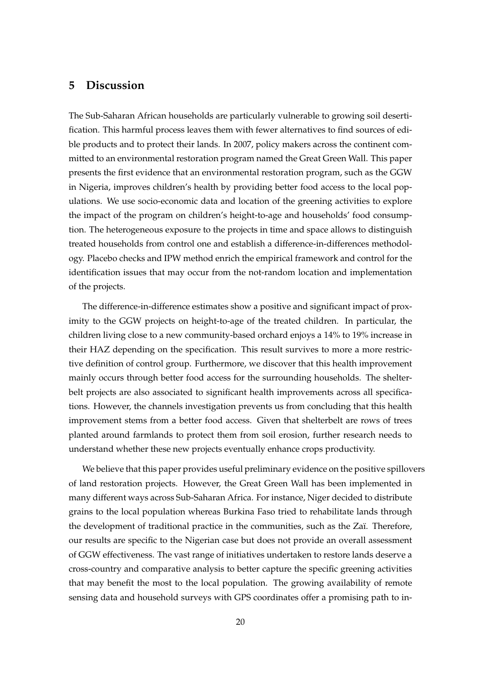### **5 Discussion**

The Sub-Saharan African households are particularly vulnerable to growing soil desertification. This harmful process leaves them with fewer alternatives to find sources of edible products and to protect their lands. In 2007, policy makers across the continent committed to an environmental restoration program named the Great Green Wall. This paper presents the first evidence that an environmental restoration program, such as the GGW in Nigeria, improves children's health by providing better food access to the local populations. We use socio-economic data and location of the greening activities to explore the impact of the program on children's height-to-age and households' food consumption. The heterogeneous exposure to the projects in time and space allows to distinguish treated households from control one and establish a difference-in-differences methodology. Placebo checks and IPW method enrich the empirical framework and control for the identification issues that may occur from the not-random location and implementation of the projects.

The difference-in-difference estimates show a positive and significant impact of proximity to the GGW projects on height-to-age of the treated children. In particular, the children living close to a new community-based orchard enjoys a 14% to 19% increase in their HAZ depending on the specification. This result survives to more a more restrictive definition of control group. Furthermore, we discover that this health improvement mainly occurs through better food access for the surrounding households. The shelterbelt projects are also associated to significant health improvements across all specifications. However, the channels investigation prevents us from concluding that this health improvement stems from a better food access. Given that shelterbelt are rows of trees planted around farmlands to protect them from soil erosion, further research needs to understand whether these new projects eventually enhance crops productivity.

We believe that this paper provides useful preliminary evidence on the positive spillovers of land restoration projects. However, the Great Green Wall has been implemented in many different ways across Sub-Saharan Africa. For instance, Niger decided to distribute grains to the local population whereas Burkina Faso tried to rehabilitate lands through the development of traditional practice in the communities, such as the Zaï. Therefore, our results are specific to the Nigerian case but does not provide an overall assessment of GGW effectiveness. The vast range of initiatives undertaken to restore lands deserve a cross-country and comparative analysis to better capture the specific greening activities that may benefit the most to the local population. The growing availability of remote sensing data and household surveys with GPS coordinates offer a promising path to in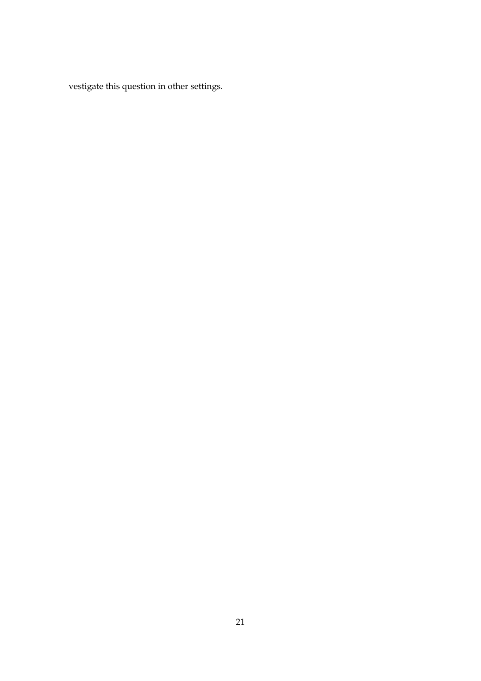vestigate this question in other settings.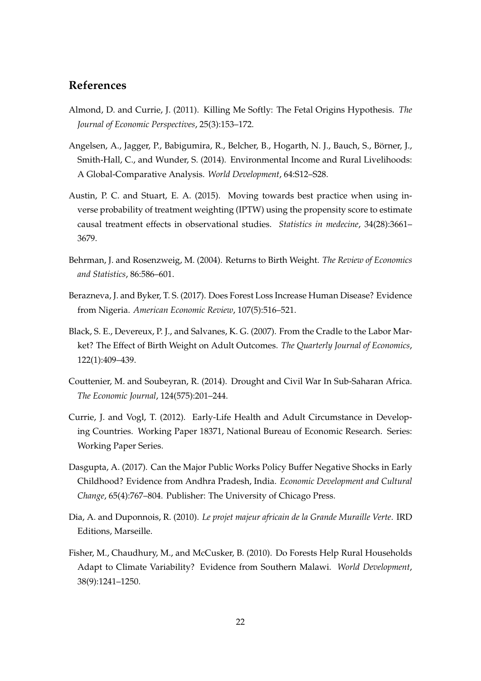### **References**

- <span id="page-21-7"></span>Almond, D. and Currie, J. (2011). Killing Me Softly: The Fetal Origins Hypothesis. *The Journal of Economic Perspectives*, 25(3):153–172.
- <span id="page-21-1"></span>Angelsen, A., Jagger, P., Babigumira, R., Belcher, B., Hogarth, N. J., Bauch, S., Börner, J., Smith-Hall, C., and Wunder, S. (2014). Environmental Income and Rural Livelihoods: A Global-Comparative Analysis. *World Development*, 64:S12–S28.
- <span id="page-21-10"></span>Austin, P. C. and Stuart, E. A. (2015). Moving towards best practice when using inverse probability of treatment weighting (IPTW) using the propensity score to estimate causal treatment effects in observational studies. *Statistics in medecine*, 34(28):3661– 3679.
- <span id="page-21-4"></span>Behrman, J. and Rosenzweig, M. (2004). Returns to Birth Weight. *The Review of Economics and Statistics*, 86:586–601.
- <span id="page-21-3"></span>Berazneva, J. and Byker, T. S. (2017). Does Forest Loss Increase Human Disease? Evidence from Nigeria. *American Economic Review*, 107(5):516–521.
- <span id="page-21-5"></span>Black, S. E., Devereux, P. J., and Salvanes, K. G. (2007). From the Cradle to the Labor Market? The Effect of Birth Weight on Adult Outcomes. *The Quarterly Journal of Economics*, 122(1):409–439.
- <span id="page-21-0"></span>Couttenier, M. and Soubeyran, R. (2014). Drought and Civil War In Sub-Saharan Africa. *The Economic Journal*, 124(575):201–244.
- <span id="page-21-6"></span>Currie, J. and Vogl, T. (2012). Early-Life Health and Adult Circumstance in Developing Countries. Working Paper 18371, National Bureau of Economic Research. Series: Working Paper Series.
- <span id="page-21-8"></span>Dasgupta, A. (2017). Can the Major Public Works Policy Buffer Negative Shocks in Early Childhood? Evidence from Andhra Pradesh, India. *Economic Development and Cultural Change*, 65(4):767–804. Publisher: The University of Chicago Press.
- <span id="page-21-9"></span>Dia, A. and Duponnois, R. (2010). *Le projet majeur africain de la Grande Muraille Verte*. IRD Editions, Marseille.
- <span id="page-21-2"></span>Fisher, M., Chaudhury, M., and McCusker, B. (2010). Do Forests Help Rural Households Adapt to Climate Variability? Evidence from Southern Malawi. *World Development*, 38(9):1241–1250.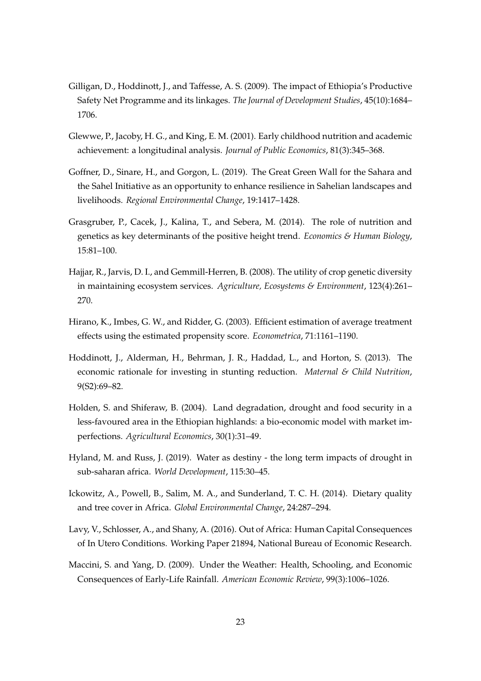- <span id="page-22-9"></span>Gilligan, D., Hoddinott, J., and Taffesse, A. S. (2009). The impact of Ethiopia's Productive Safety Net Programme and its linkages. *The Journal of Development Studies*, 45(10):1684– 1706.
- <span id="page-22-4"></span>Glewwe, P., Jacoby, H. G., and King, E. M. (2001). Early childhood nutrition and academic achievement: a longitudinal analysis. *Journal of Public Economics*, 81(3):345–368.
- <span id="page-22-1"></span>Goffner, D., Sinare, H., and Gorgon, L. (2019). The Great Green Wall for the Sahara and the Sahel Initiative as an opportunity to enhance resilience in Sahelian landscapes and livelihoods. *Regional Environmental Change*, 19:1417–1428.
- <span id="page-22-10"></span>Grasgruber, P., Cacek, J., Kalina, T., and Sebera, M. (2014). The role of nutrition and genetics as key determinants of the positive height trend. *Economics & Human Biology*, 15:81–100.
- <span id="page-22-3"></span>Hajjar, R., Jarvis, D. I., and Gemmill-Herren, B. (2008). The utility of crop genetic diversity in maintaining ecosystem services. *Agriculture, Ecosystems & Environment*, 123(4):261– 270.
- <span id="page-22-11"></span>Hirano, K., Imbes, G. W., and Ridder, G. (2003). Efficient estimation of average treatment effects using the estimated propensity score. *Econometrica*, 71:1161–1190.
- <span id="page-22-6"></span>Hoddinott, J., Alderman, H., Behrman, J. R., Haddad, L., and Horton, S. (2013). The economic rationale for investing in stunting reduction. *Maternal & Child Nutrition*, 9(S2):69–82.
- <span id="page-22-0"></span>Holden, S. and Shiferaw, B. (2004). Land degradation, drought and food security in a less-favoured area in the Ethiopian highlands: a bio-economic model with market imperfections. *Agricultural Economics*, 30(1):31–49.
- <span id="page-22-7"></span>Hyland, M. and Russ, J. (2019). Water as destiny - the long term impacts of drought in sub-saharan africa. *World Development*, 115:30–45.
- <span id="page-22-2"></span>Ickowitz, A., Powell, B., Salim, M. A., and Sunderland, T. C. H. (2014). Dietary quality and tree cover in Africa. *Global Environmental Change*, 24:287–294.
- <span id="page-22-8"></span>Lavy, V., Schlosser, A., and Shany, A. (2016). Out of Africa: Human Capital Consequences of In Utero Conditions. Working Paper 21894, National Bureau of Economic Research.
- <span id="page-22-5"></span>Maccini, S. and Yang, D. (2009). Under the Weather: Health, Schooling, and Economic Consequences of Early-Life Rainfall. *American Economic Review*, 99(3):1006–1026.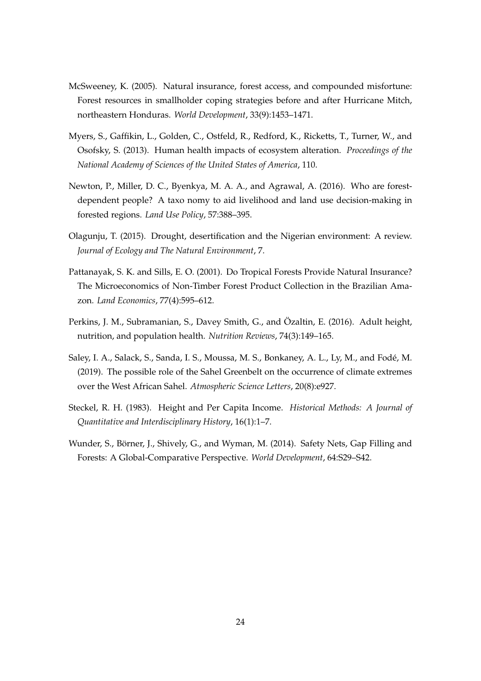- <span id="page-23-4"></span>McSweeney, K. (2005). Natural insurance, forest access, and compounded misfortune: Forest resources in smallholder coping strategies before and after Hurricane Mitch, northeastern Honduras. *World Development*, 33(9):1453–1471.
- <span id="page-23-5"></span>Myers, S., Gaffikin, L., Golden, C., Ostfeld, R., Redford, K., Ricketts, T., Turner, W., and Osofsky, S. (2013). Human health impacts of ecosystem alteration. *Proceedings of the National Academy of Sciences of the United States of America*, 110.
- <span id="page-23-1"></span>Newton, P., Miller, D. C., Byenkya, M. A. A., and Agrawal, A. (2016). Who are forestdependent people? A taxo nomy to aid livelihood and land use decision-making in forested regions. *Land Use Policy*, 57:388–395.
- <span id="page-23-0"></span>Olagunju, T. (2015). Drought, desertification and the Nigerian environment: A review. *Journal of Ecology and The Natural Environment*, 7.
- <span id="page-23-3"></span>Pattanayak, S. K. and Sills, E. O. (2001). Do Tropical Forests Provide Natural Insurance? The Microeconomics of Non-Timber Forest Product Collection in the Brazilian Amazon. *Land Economics*, 77(4):595–612.
- <span id="page-23-6"></span>Perkins, J. M., Subramanian, S., Davey Smith, G., and Özaltin, E. (2016). Adult height, nutrition, and population health. *Nutrition Reviews*, 74(3):149–165.
- <span id="page-23-7"></span>Saley, I. A., Salack, S., Sanda, I. S., Moussa, M. S., Bonkaney, A. L., Ly, M., and Fodé, M. (2019). The possible role of the Sahel Greenbelt on the occurrence of climate extremes over the West African Sahel. *Atmospheric Science Letters*, 20(8):e927.
- <span id="page-23-8"></span>Steckel, R. H. (1983). Height and Per Capita Income. *Historical Methods: A Journal of Quantitative and Interdisciplinary History*, 16(1):1–7.
- <span id="page-23-2"></span>Wunder, S., Börner, J., Shively, G., and Wyman, M. (2014). Safety Nets, Gap Filling and Forests: A Global-Comparative Perspective. *World Development*, 64:S29–S42.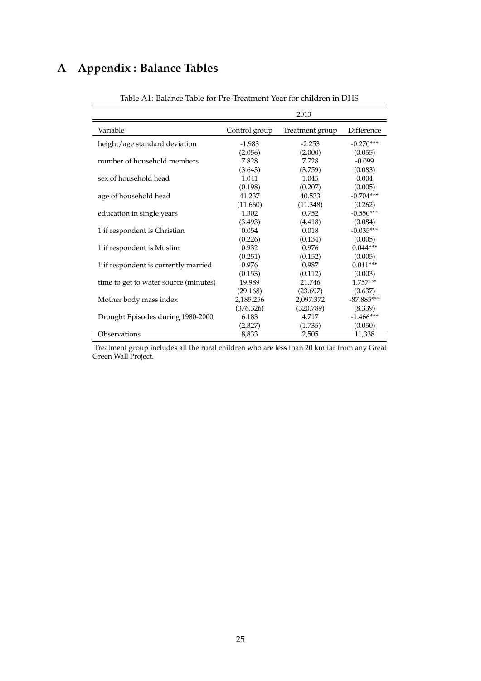## <span id="page-24-0"></span>**A Appendix : Balance Tables**

|                                       |               | 2013            |              |
|---------------------------------------|---------------|-----------------|--------------|
| Variable                              | Control group | Treatment group | Difference   |
| height/age standard deviation         | $-1.983$      | $-2.253$        | $-0.270***$  |
|                                       | (2.056)       | (2.000)         | (0.055)      |
| number of household members           | 7.828         | 7.728           | $-0.099$     |
|                                       | (3.643)       | (3.759)         | (0.083)      |
| sex of household head                 | 1.041         | 1.045           | 0.004        |
|                                       | (0.198)       | (0.207)         | (0.005)      |
| age of household head                 | 41.237        | 40.533          | $-0.704***$  |
|                                       | (11.660)      | (11.348)        | (0.262)      |
| education in single years             | 1.302         | 0.752           | $-0.550***$  |
|                                       | (3.493)       | (4.418)         | (0.084)      |
| 1 if respondent is Christian          | 0.054         | 0.018           | $-0.035***$  |
|                                       | (0.226)       | (0.134)         | (0.005)      |
| 1 if respondent is Muslim             | 0.932         | 0.976           | $0.044***$   |
|                                       | (0.251)       | (0.152)         | (0.005)      |
| 1 if respondent is currently married  | 0.976         | 0.987           | $0.011***$   |
|                                       | (0.153)       | (0.112)         | (0.003)      |
| time to get to water source (minutes) | 19.989        | 21.746          | $1.757***$   |
|                                       | (29.168)      | (23.697)        | (0.637)      |
| Mother body mass index                | 2,185.256     | 2,097.372       | $-87.885***$ |
|                                       | (376.326)     | (320.789)       | (8.339)      |
| Drought Episodes during 1980-2000     | 6.183         | 4.717           | $-1.466***$  |
|                                       | (2.327)       | (1.735)         | (0.050)      |
| Observations                          | 8,833         | 2,505           | 11,338       |

Table A1: Balance Table for Pre-Treatment Year for children in DHS

Treatment group includes all the rural children who are less than 20 km far from any Great Green Wall Project.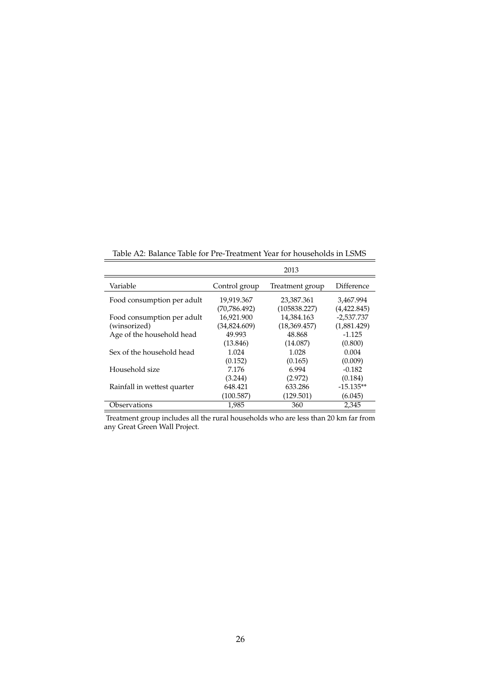<span id="page-25-0"></span>

|                             |               | 2013            |                   |
|-----------------------------|---------------|-----------------|-------------------|
| Variable                    | Control group | Treatment group | <b>Difference</b> |
| Food consumption per adult  | 19,919.367    | 23,387.361      | 3,467.994         |
|                             | (70, 786.492) | (105838.227)    | (4,422.845)       |
| Food consumption per adult  | 16,921.900    | 14,384.163      | $-2,537.737$      |
| (winsorized)                | (34,824.609)  | (18,369.457)    | (1,881.429)       |
| Age of the household head   | 49.993        | 48.868          | $-1.125$          |
|                             | (13.846)      | (14.087)        | (0.800)           |
| Sex of the household head   | 1.024         | 1.028           | 0.004             |
|                             | (0.152)       | (0.165)         | (0.009)           |
| Household size              | 7.176         | 6.994           | $-0.182$          |
|                             | (3.244)       | (2.972)         | (0.184)           |
| Rainfall in wettest quarter | 648.421       | 633.286         | $-15.135**$       |
|                             | (100.587)     | (129.501)       | (6.045)           |
| Observations                | 1,985         | 360             | 2,345             |
|                             |               |                 |                   |

Table A2: Balance Table for Pre-Treatment Year for households in LSMS

Treatment group includes all the rural households who are less than 20 km far from any Great Green Wall Project.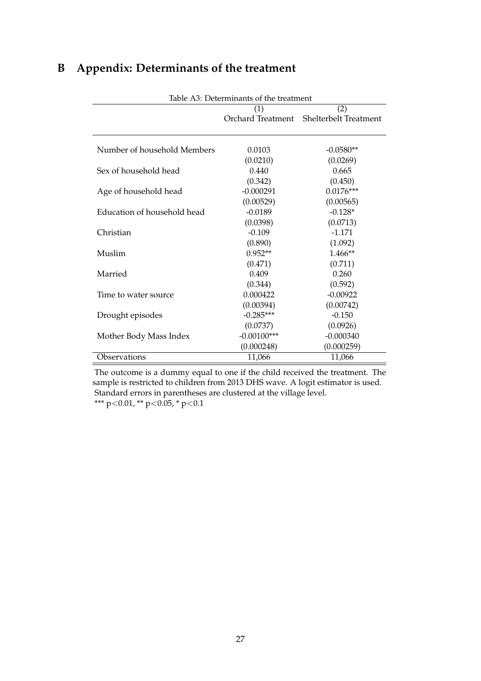<span id="page-26-0"></span>

| B |  | <b>Appendix: Determinants of the treatment</b> |  |  |
|---|--|------------------------------------------------|--|--|
|---|--|------------------------------------------------|--|--|

|                             | Table A3: Determinants of the treatment |                                         |  |  |  |  |
|-----------------------------|-----------------------------------------|-----------------------------------------|--|--|--|--|
|                             | (1)<br>(2)                              |                                         |  |  |  |  |
|                             |                                         | Orchard Treatment Shelterbelt Treatment |  |  |  |  |
|                             |                                         |                                         |  |  |  |  |
|                             |                                         |                                         |  |  |  |  |
| Number of household Members | 0.0103                                  | $-0.0580**$                             |  |  |  |  |
|                             | (0.0210)                                | (0.0269)                                |  |  |  |  |
| Sex of household head       | 0.440                                   | 0.665                                   |  |  |  |  |
|                             | (0.342)                                 | (0.450)                                 |  |  |  |  |
| Age of household head       | $-0.000291$                             | $0.0176***$                             |  |  |  |  |
|                             | (0.00529)                               | (0.00565)                               |  |  |  |  |
| Education of household head | $-0.0189$                               | $-0.128*$                               |  |  |  |  |
|                             | (0.0398)                                | (0.0713)                                |  |  |  |  |
| Christian                   | $-0.109$                                | $-1.171$                                |  |  |  |  |
|                             | (0.890)                                 | (1.092)                                 |  |  |  |  |
| Muslim                      | $0.952**$                               | 1.466**                                 |  |  |  |  |
|                             | (0.471)                                 | (0.711)                                 |  |  |  |  |
| Married                     | 0.409                                   | 0.260                                   |  |  |  |  |
|                             | (0.344)                                 | (0.592)                                 |  |  |  |  |
| Time to water source        | 0.000422                                | $-0.00922$                              |  |  |  |  |
|                             | (0.00394)                               | (0.00742)                               |  |  |  |  |
| Drought episodes            | $-0.285***$                             | $-0.150$                                |  |  |  |  |
|                             | (0.0737)                                | (0.0926)                                |  |  |  |  |
| Mother Body Mass Index      | $-0.00100***$                           | $-0.000340$                             |  |  |  |  |
|                             | (0.000248)                              | (0.000259)                              |  |  |  |  |
| Observations                | 11,066                                  | 11,066                                  |  |  |  |  |
|                             |                                         |                                         |  |  |  |  |

The outcome is a dummy equal to one if the child received the treatment. The sample is restricted to children from 2013 DHS wave. A logit estimator is used. Standard errors in parentheses are clustered at the village level.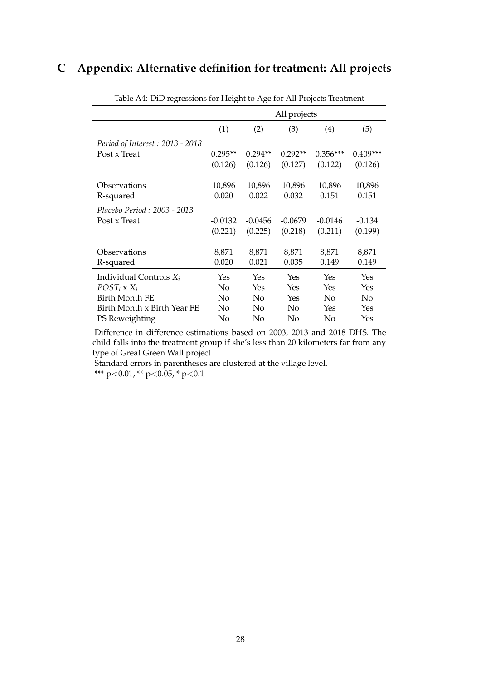## <span id="page-27-0"></span>**C Appendix: Alternative definition for treatment: All projects**

|                                 | All projects |           |           |            |            |  |
|---------------------------------|--------------|-----------|-----------|------------|------------|--|
|                                 | (1)          | (2)       | (3)       | (4)        | (5)        |  |
| Period of Interest: 2013 - 2018 |              |           |           |            |            |  |
| Post x Treat                    | $0.295**$    | $0.294**$ | $0.292**$ | $0.356***$ | $0.409***$ |  |
|                                 | (0.126)      | (0.126)   | (0.127)   | (0.122)    | (0.126)    |  |
| Observations                    | 10,896       | 10,896    | 10,896    | 10,896     | 10,896     |  |
| R-squared                       | 0.020        | 0.022     | 0.032     | 0.151      | 0.151      |  |
| Placebo Period : 2003 - 2013    |              |           |           |            |            |  |
| Post x Treat                    | $-0.0132$    | $-0.0456$ | $-0.0679$ | $-0.0146$  | $-0.134$   |  |
|                                 | (0.221)      | (0.225)   | (0.218)   | (0.211)    | (0.199)    |  |
| Observations                    | 8,871        | 8,871     | 8,871     | 8,871      | 8,871      |  |
| R-squared                       | 0.020        | 0.021     | 0.035     | 0.149      | 0.149      |  |
| Individual Controls $X_i$       | Yes          | Yes       | Yes       | Yes        | Yes        |  |
| $POST_i$ x $X_i$                | No           | Yes       | Yes       | Yes        | Yes        |  |
| Birth Month FE                  | No           | No.       | Yes       | No         | No         |  |
| Birth Month x Birth Year FE     | No           | No.       | No        | Yes        | Yes        |  |
| PS Reweighting                  | No           | No        | No        | No         | Yes        |  |

Table A4: DiD regressions for Height to Age for All Projects Treatment

Difference in difference estimations based on 2003, 2013 and 2018 DHS. The child falls into the treatment group if she's less than 20 kilometers far from any type of Great Green Wall project.

Standard errors in parentheses are clustered at the village level.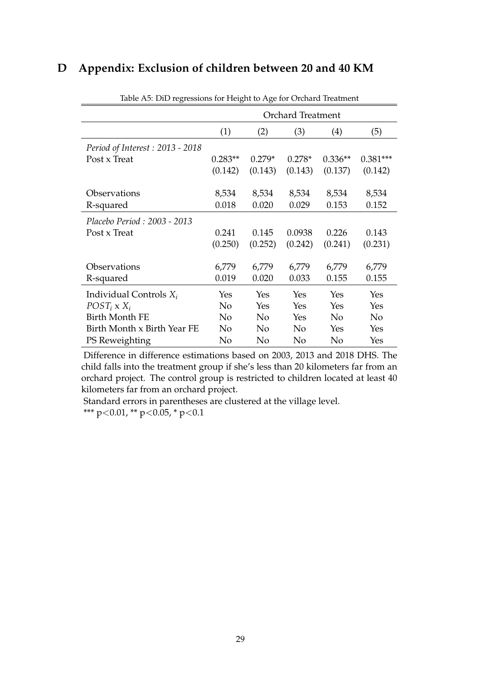## <span id="page-28-0"></span>**D Appendix: Exclusion of children between 20 and 40 KM**

|                                 | <b>Orchard Treatment</b> |          |                |                |                |  |  |
|---------------------------------|--------------------------|----------|----------------|----------------|----------------|--|--|
|                                 | (1)                      | (2)      | (3)            | (4)            | (5)            |  |  |
| Period of Interest: 2013 - 2018 |                          |          |                |                |                |  |  |
| Post x Treat                    | $0.283**$                | $0.279*$ | $0.278*$       | $0.336**$      | $0.381***$     |  |  |
|                                 | (0.142)                  | (0.143)  | (0.143)        | (0.137)        | (0.142)        |  |  |
|                                 |                          |          |                |                |                |  |  |
| Observations                    | 8,534                    | 8,534    | 8,534          | 8,534          | 8,534          |  |  |
| R-squared                       | 0.018                    | 0.020    | 0.029          | 0.153          | 0.152          |  |  |
| Placebo Period: 2003 - 2013     |                          |          |                |                |                |  |  |
| Post x Treat                    | 0.241                    | 0.145    | 0.0938         | 0.226          | 0.143          |  |  |
|                                 | (0.250)                  | (0.252)  | (0.242)        | (0.241)        | (0.231)        |  |  |
|                                 |                          |          |                |                |                |  |  |
| Observations                    | 6,779                    | 6,779    | 6,779          | 6,779          | 6,779          |  |  |
| R-squared                       | 0.019                    | 0.020    | 0.033          | 0.155          | 0.155          |  |  |
| Individual Controls $X_i$       | Yes                      | Yes      | Yes            | Yes            | Yes            |  |  |
| $POST_i$ x $X_i$                | No                       | Yes      | Yes            | Yes            | Yes            |  |  |
| <b>Birth Month FE</b>           | No                       | No       | Yes            | N <sub>o</sub> | N <sub>o</sub> |  |  |
| Birth Month x Birth Year FE     | No                       | No       | N <sub>0</sub> | Yes            | Yes            |  |  |
| PS Reweighting                  | No                       | No       | No             | No             | Yes            |  |  |

Table A5: DiD regressions for Height to Age for Orchard Treatment

Difference in difference estimations based on 2003, 2013 and 2018 DHS. The child falls into the treatment group if she's less than 20 kilometers far from an orchard project. The control group is restricted to children located at least 40 kilometers far from an orchard project.

Standard errors in parentheses are clustered at the village level. \*\*\* p<0.01, \*\* p<0.05, \* p<0.1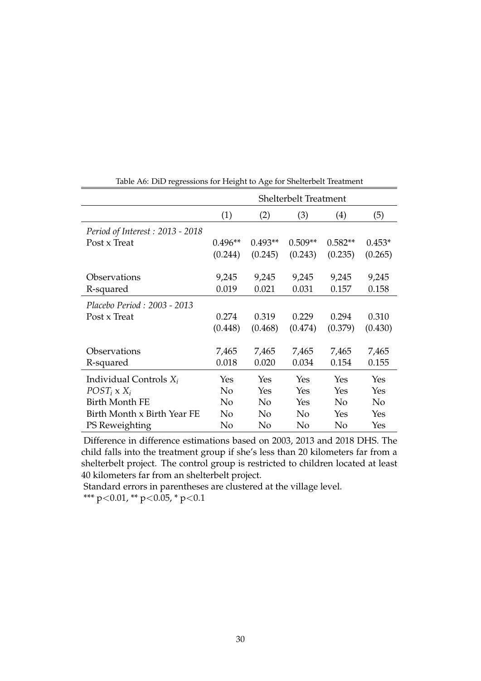<span id="page-29-0"></span>

|                                 | <b>Shelterbelt Treatment</b> |                |                |                |                |  |  |  |
|---------------------------------|------------------------------|----------------|----------------|----------------|----------------|--|--|--|
|                                 | (1)                          | (2)            | (3)            | (4)            | (5)            |  |  |  |
| Period of Interest: 2013 - 2018 |                              |                |                |                |                |  |  |  |
| Post x Treat                    | $0.496**$                    | $0.493**$      | $0.509**$      | $0.582**$      | $0.453*$       |  |  |  |
|                                 | (0.244)                      | (0.245)        | (0.243)        | (0.235)        | (0.265)        |  |  |  |
|                                 |                              |                |                |                |                |  |  |  |
| Observations                    | 9,245                        | 9,245          | 9,245          | 9,245          | 9,245          |  |  |  |
| R-squared                       | 0.019                        | 0.021          | 0.031          | 0.157          | 0.158          |  |  |  |
| Placebo Period: 2003 - 2013     |                              |                |                |                |                |  |  |  |
| Post x Treat                    | 0.274                        | 0.319          | 0.229          | 0.294          | 0.310          |  |  |  |
|                                 | (0.448)                      | (0.468)        | (0.474)        | (0.379)        | (0.430)        |  |  |  |
|                                 |                              |                |                |                |                |  |  |  |
| Observations                    | 7,465                        | 7,465          | 7,465          | 7,465          | 7,465          |  |  |  |
| R-squared                       | 0.018                        | 0.020          | 0.034          | 0.154          | 0.155          |  |  |  |
| Individual Controls $X_i$       | Yes                          | Yes            | Yes            | Yes            | Yes            |  |  |  |
| $POST_i$ x $X_i$                | N <sub>o</sub>               | Yes            | Yes            | Yes            | Yes            |  |  |  |
| <b>Birth Month FE</b>           | No                           | N <sub>o</sub> | Yes            | N <sub>0</sub> | N <sub>o</sub> |  |  |  |
| Birth Month x Birth Year FE     | No                           | N <sub>0</sub> | N <sub>0</sub> | Yes            | Yes            |  |  |  |
| PS Reweighting                  | No                           | No             | No             | No             | Yes            |  |  |  |

Table A6: DiD regressions for Height to Age for Shelterbelt Treatment

Difference in difference estimations based on 2003, 2013 and 2018 DHS. The child falls into the treatment group if she's less than 20 kilometers far from a shelterbelt project. The control group is restricted to children located at least 40 kilometers far from an shelterbelt project.

Standard errors in parentheses are clustered at the village level.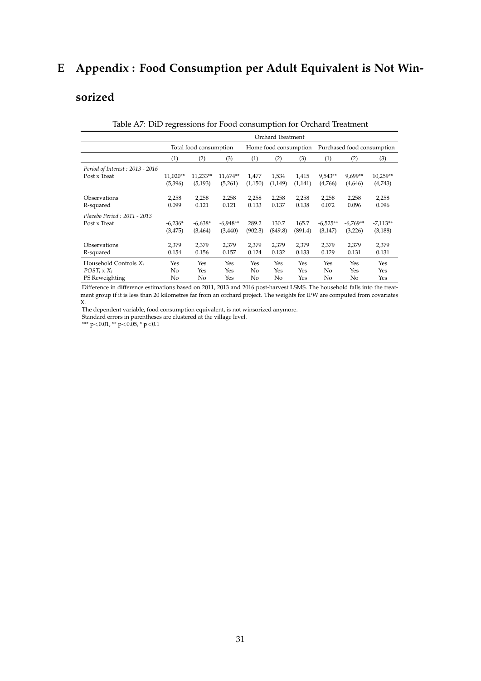## **E Appendix : Food Consumption per Adult Equivalent is Not Win-**

## **sorized**

<span id="page-30-0"></span>

|                                 | Orchard Treatment      |                |                |                       |                |                |                            |                |                |
|---------------------------------|------------------------|----------------|----------------|-----------------------|----------------|----------------|----------------------------|----------------|----------------|
|                                 | Total food consumption |                |                | Home food consumption |                |                | Purchased food consumption |                |                |
|                                 | (1)                    | (2)            | (3)            | (1)                   | (2)            | (3)            | (1)                        | (2)            | (3)            |
| Period of Interest: 2013 - 2016 |                        |                |                |                       |                |                |                            |                |                |
| Post x Treat                    | 11,020**               | 11,233**       | 11,674**       | 1,477                 | 1,534          | 1,415          | 9,543**                    | 9,699**        | 10,259**       |
|                                 | (5,396)                | (5, 193)       | (5,261)        | (1,150)               | (1,149)        | (1,141)        | (4,766)                    | (4,646)        | (4,743)        |
| Observations<br>R-squared       | 2,258<br>0.099         | 2,258<br>0.121 | 2,258<br>0.121 | 2,258<br>0.133        | 2,258<br>0.137 | 2,258<br>0.138 | 2,258<br>0.072             | 2,258<br>0.096 | 2,258<br>0.096 |
|                                 |                        |                |                |                       |                |                |                            |                |                |
| Placebo Period: 2011 - 2013     |                        |                |                |                       |                |                |                            |                |                |
| Post x Treat                    | $-6,236*$              | $-6,638*$      | $-6,948**$     | 289.2                 | 130.7          | 165.7          | $-6,525**$                 | $-6,769**$     | $-7,113**$     |
|                                 | (3, 475)               | (3, 464)       | (3,440)        | (902.3)               | (849.8)        | (891.4)        | (3, 147)                   | (3,226)        | (3,188)        |
| Observations                    | 2,379                  | 2,379          | 2,379          | 2,379                 | 2,379          | 2,379          | 2,379                      | 2,379          | 2,379          |
| R-squared                       | 0.154                  | 0.156          | 0.157          | 0.124                 | 0.132          | 0.133          | 0.129                      | 0.131          | 0.131          |
| Household Controls $X_i$        | Yes                    | Yes            | Yes            | Yes                   | Yes            | Yes            | Yes                        | Yes            | Yes            |
| $POST_i$ x $X_i$                | No                     | Yes            | Yes            | No                    | Yes            | Yes            | No                         | Yes            | Yes            |
| PS Reweighting                  | No                     | No             | Yes            | No                    | No             | Yes            | No                         | No             | Yes            |

#### Table A7: DiD regressions for Food consumption for Orchard Treatment

Difference in difference estimations based on 2011, 2013 and 2016 post-harvest LSMS. The household falls into the treatment group if it is less than 20 kilometres far from an orchard project. The weights for IPW are computed from covariates

X. The dependent variable, food consumption equivalent, is not winsorized anymore. Standard errors in parentheses are clustered at the village level.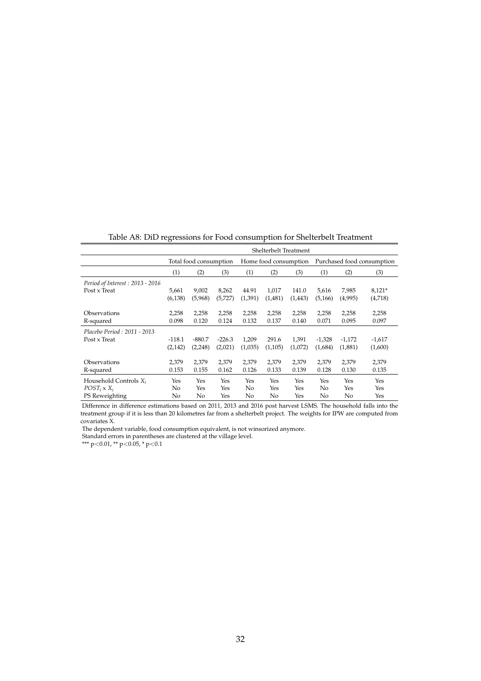<span id="page-31-0"></span>

|                                 | Shelterbelt Treatment  |          |          |                       |         |         |                            |          |          |
|---------------------------------|------------------------|----------|----------|-----------------------|---------|---------|----------------------------|----------|----------|
|                                 | Total food consumption |          |          | Home food consumption |         |         | Purchased food consumption |          |          |
|                                 | (1)                    | (2)      | (3)      | (1)                   | (2)     | (3)     | (1)                        | (2)      | (3)      |
| Period of Interest: 2013 - 2016 |                        |          |          |                       |         |         |                            |          |          |
| Post x Treat                    | 5,661                  | 9,002    | 8,262    | 44.91                 | 1,017   | 141.0   | 5,616                      | 7,985    | $8,121*$ |
|                                 | (6, 138)               | (5,968)  | (5,727)  | (1,391)               | (1,481) | (1,443) | (5,166)                    | (4,995)  | (4,718)  |
| Observations                    | 2,258                  | 2,258    | 2,258    | 2,258                 | 2,258   | 2,258   | 2,258                      | 2,258    | 2,258    |
| R-squared                       | 0.098                  | 0.120    | 0.124    | 0.132                 | 0.137   | 0.140   | 0.071                      | 0.095    | 0.097    |
| Placebo Period: 2011 - 2013     |                        |          |          |                       |         |         |                            |          |          |
| Post x Treat                    | $-118.1$               | $-880.7$ | $-226.3$ | 1,209                 | 291.6   | 1,391   | $-1,328$                   | $-1,172$ | $-1,617$ |
|                                 | (2, 142)               | (2,248)  | (2,021)  | (1,035)               | (1,105) | (1,072) | (1,684)                    | (1,881)  | (1,600)  |
| Observations                    | 2,379                  | 2,379    | 2.379    | 2,379                 | 2,379   | 2,379   | 2,379                      | 2,379    | 2,379    |
| R-squared                       | 0.153                  | 0.155    | 0.162    | 0.126                 | 0.133   | 0.139   | 0.128                      | 0.130    | 0.135    |
| Household Controls $X_i$        | Yes                    | Yes      | Yes      | Yes                   | Yes     | Yes     | Yes                        | Yes      | Yes      |
| $POST_i$ x $X_i$                | No                     | Yes      | Yes      | No                    | Yes     | Yes     | No                         | Yes      | Yes      |
| PS Reweighting                  | No                     | No       | Yes      | No                    | No      | Yes     | No                         | No       | Yes      |

Table A8: DiD regressions for Food consumption for Shelterbelt Treatment

Difference in difference estimations based on 2011, 2013 and 2016 post harvest LSMS. The household falls into the treatment group if it is less than 20 kilometres far from a shelterbelt project. The weights for IPW are computed from covariates X.

The dependent variable, food consumption equivalent, is not winsorized anymore.

Standard errors in parentheses are clustered at the village level.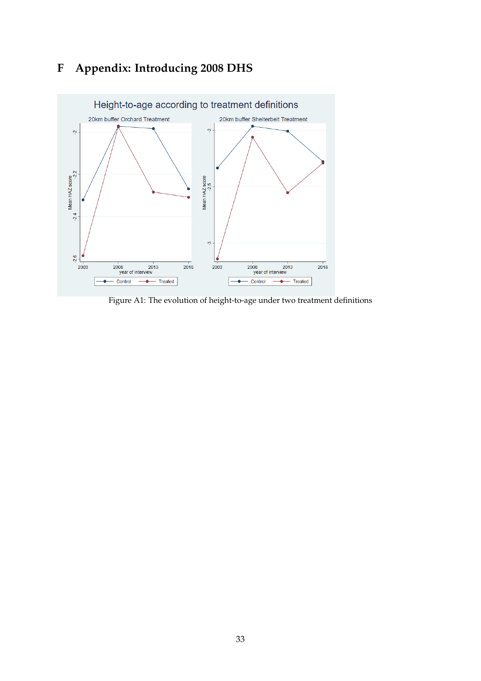## **F Appendix: Introducing 2008 DHS**

<span id="page-32-0"></span>

Figure A1: The evolution of height-to-age under two treatment definitions